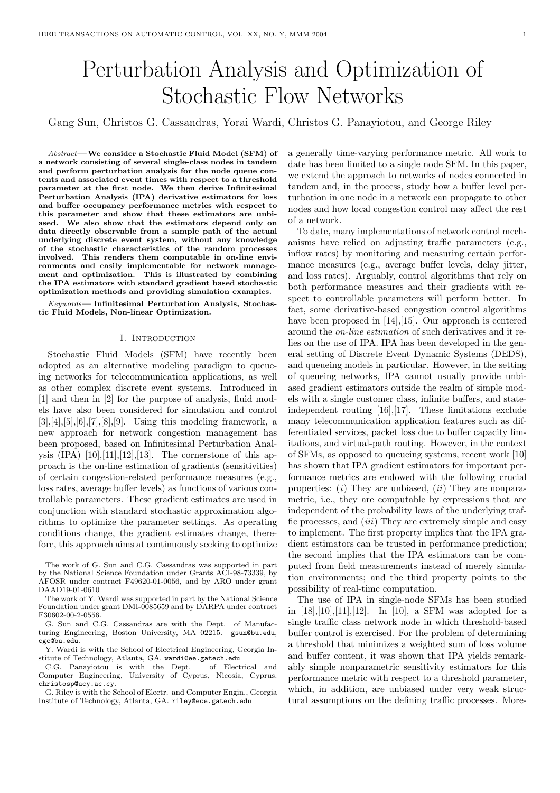# Perturbation Analysis and Optimization of Stochastic Flow Networks

Gang Sun, Christos G. Cassandras, Yorai Wardi, Christos G. Panayiotou, and George Riley

Abstract—We consider a Stochastic Fluid Model (SFM) of a network consisting of several single-class nodes in tandem and perform perturbation analysis for the node queue contents and associated event times with respect to a threshold parameter at the first node. We then derive Infinitesimal Perturbation Analysis (IPA) derivative estimators for loss and buffer occupancy performance metrics with respect to this parameter and show that these estimators are unbiased. We also show that the estimators depend only on data directly observable from a sample path of the actual underlying discrete event system, without any knowledge of the stochastic characteristics of the random processes involved. This renders them computable in on-line environments and easily implementable for network management and optimization. This is illustrated by combining the IPA estimators with standard gradient based stochastic optimization methods and providing simulation examples.

Keywords— Infinitesimal Perturbation Analysis, Stochastic Fluid Models, Non-linear Optimization.

#### I. Introduction

Stochastic Fluid Models (SFM) have recently been adopted as an alternative modeling paradigm to queueing networks for telecommunication applications, as well as other complex discrete event systems. Introduced in [1] and then in [2] for the purpose of analysis, fluid models have also been considered for simulation and control  $[3], [4], [5], [6], [7], [8], [9].$  Using this modeling framework, a new approach for network congestion management has been proposed, based on Infinitesimal Perturbation Analysis  $(IPA)$  [10],[11],[12],[13]. The cornerstone of this approach is the on-line estimation of gradients (sensitivities) of certain congestion-related performance measures (e.g., loss rates, average buffer levels) as functions of various controllable parameters. These gradient estimates are used in conjunction with standard stochastic approximation algorithms to optimize the parameter settings. As operating conditions change, the gradient estimates change, therefore, this approach aims at continuously seeking to optimize

The work of G. Sun and C.G. Cassandras was supported in part by the National Science Foundation under Grants ACI-98-73339, by AFOSR under contract F49620-01-0056, and by ARO under grant DAAD19-01-0610

The work of Y. Wardi was supported in part by the National Science Foundation under grant DMI-0085659 and by DARPA under contract F30602-00-2-0556.

G. Sun and C.G. Cassandras are with the Dept. of Manufacturing Engineering, Boston University, MA 02215. gsun@bu.edu, cgc@bu.edu.

Y. Wardi is with the School of Electrical Engineering, Georgia Institute of Technology, Atlanta, GA. wardi@ee.gatech.edu<br>C.G. Panaviotou is with the Dept. of Electrical and

C.G. Panayiotou is with the Dept. Computer Engineering, University of Cyprus, Nicosia, Cyprus. christosp@ucy.ac.cy.

G. Riley is with the School of Electr. and Computer Engin., Georgia Institute of Technology, Atlanta, GA. riley@ece.gatech.edu

a generally time-varying performance metric. All work to date has been limited to a single node SFM. In this paper, we extend the approach to networks of nodes connected in tandem and, in the process, study how a buffer level perturbation in one node in a network can propagate to other nodes and how local congestion control may affect the rest of a network.

To date, many implementations of network control mechanisms have relied on adjusting traffic parameters (e.g., inflow rates) by monitoring and measuring certain performance measures (e.g., average buffer levels, delay jitter, and loss rates). Arguably, control algorithms that rely on both performance measures and their gradients with respect to controllable parameters will perform better. In fact, some derivative-based congestion control algorithms have been proposed in [14],[15]. Our approach is centered around the on-line estimation of such derivatives and it relies on the use of IPA. IPA has been developed in the general setting of Discrete Event Dynamic Systems (DEDS), and queueing models in particular. However, in the setting of queueing networks, IPA cannot usually provide unbiased gradient estimators outside the realm of simple models with a single customer class, infinite buffers, and stateindependent routing [16],[17]. These limitations exclude many telecommunication application features such as differentiated services, packet loss due to buffer capacity limitations, and virtual-path routing. However, in the context of SFMs, as opposed to queueing systems, recent work [10] has shown that IPA gradient estimators for important performance metrics are endowed with the following crucial properties:  $(i)$  They are unbiased,  $(ii)$  They are nonparametric, i.e., they are computable by expressions that are independent of the probability laws of the underlying traffic processes, and  $(iii)$  They are extremely simple and easy to implement. The first property implies that the IPA gradient estimators can be trusted in performance prediction; the second implies that the IPA estimators can be computed from field measurements instead of merely simulation environments; and the third property points to the possibility of real-time computation.

The use of IPA in single-node SFMs has been studied in [18],[10],[11],[12]. In [10], a SFM was adopted for a single traffic class network node in which threshold-based buffer control is exercised. For the problem of determining a threshold that minimizes a weighted sum of loss volume and buffer content, it was shown that IPA yields remarkably simple nonparametric sensitivity estimators for this performance metric with respect to a threshold parameter, which, in addition, are unbiased under very weak structural assumptions on the defining traffic processes. More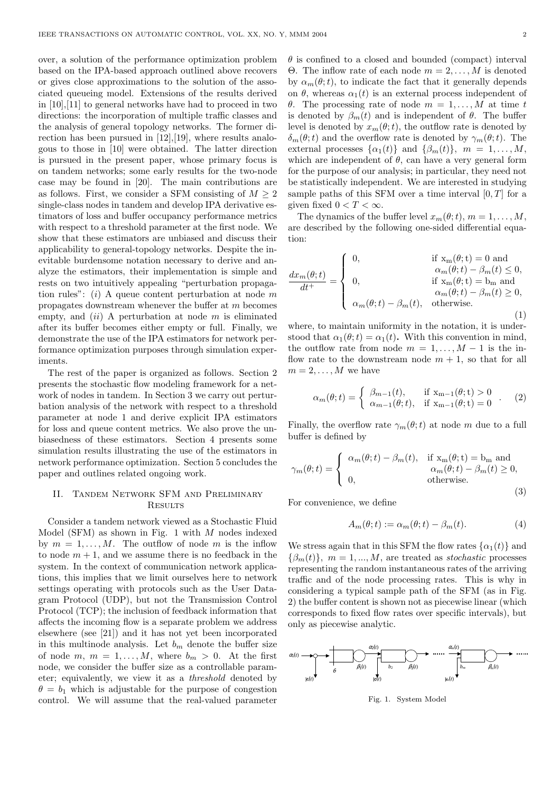over, a solution of the performance optimization problem based on the IPA-based approach outlined above recovers or gives close approximations to the solution of the associated queueing model. Extensions of the results derived in [10],[11] to general networks have had to proceed in two directions: the incorporation of multiple traffic classes and the analysis of general topology networks. The former direction has been pursued in [12],[19], where results analogous to those in [10] were obtained. The latter direction is pursued in the present paper, whose primary focus is on tandem networks; some early results for the two-node case may be found in [20]. The main contributions are as follows. First, we consider a SFM consisting of  $M \geq 2$ single-class nodes in tandem and develop IPA derivative estimators of loss and buffer occupancy performance metrics with respect to a threshold parameter at the first node. We show that these estimators are unbiased and discuss their applicability to general-topology networks. Despite the inevitable burdensome notation necessary to derive and analyze the estimators, their implementation is simple and rests on two intuitively appealing "perturbation propagation rules":  $(i)$  A queue content perturbation at node m propagates downstream whenever the buffer at m becomes empty, and  $(ii)$  A perturbation at node m is eliminated after its buffer becomes either empty or full. Finally, we demonstrate the use of the IPA estimators for network performance optimization purposes through simulation experiments.

The rest of the paper is organized as follows. Section 2 presents the stochastic flow modeling framework for a network of nodes in tandem. In Section 3 we carry out perturbation analysis of the network with respect to a threshold parameter at node 1 and derive explicit IPA estimators for loss and queue content metrics. We also prove the unbiasedness of these estimators. Section 4 presents some simulation results illustrating the use of the estimators in network performance optimization. Section 5 concludes the paper and outlines related ongoing work.

# II. Tandem Network SFM and Preliminary **RESULTS**

Consider a tandem network viewed as a Stochastic Fluid Model (SFM) as shown in Fig. 1 with  $M$  nodes indexed by  $m = 1, \ldots, M$ . The outflow of node m is the inflow to node  $m + 1$ , and we assume there is no feedback in the system. In the context of communication network applications, this implies that we limit ourselves here to network settings operating with protocols such as the User Datagram Protocol (UDP), but not the Transmission Control Protocol (TCP); the inclusion of feedback information that affects the incoming flow is a separate problem we address elsewhere (see [21]) and it has not yet been incorporated in this multinode analysis. Let  $b_m$  denote the buffer size of node m,  $m = 1, ..., M$ , where  $b_m > 0$ . At the first node, we consider the buffer size as a controllable parameter; equivalently, we view it as a threshold denoted by  $\theta = b_1$  which is adjustable for the purpose of congestion control. We will assume that the real-valued parameter

 $\theta$  is confined to a closed and bounded (compact) interval Θ. The inflow rate of each node  $m = 2, ..., M$  is denoted by  $\alpha_m(\theta; t)$ , to indicate the fact that it generally depends on  $\theta$ , whereas  $\alpha_1(t)$  is an external process independent of θ. The processing rate of node  $m = 1, ..., M$  at time t is denoted by  $\beta_m(t)$  and is independent of  $\theta$ . The buffer level is denoted by  $x_m(\theta; t)$ , the outflow rate is denoted by  $\delta_m(\theta; t)$  and the overflow rate is denoted by  $\gamma_m(\theta; t)$ . The external processes  $\{\alpha_1(t)\}\$ and  $\{\beta_m(t)\}\$ ,  $m = 1, \ldots, M$ , which are independent of  $\theta$ , can have a very general form for the purpose of our analysis; in particular, they need not be statistically independent. We are interested in studying sample paths of this SFM over a time interval  $[0, T]$  for a given fixed  $0 < T < \infty$ .

The dynamics of the buffer level  $x_m(\theta; t)$ ,  $m = 1, \ldots, M$ , are described by the following one-sided differential equation:

$$
\frac{dx_m(\theta;t)}{dt^+} = \left\{ \begin{array}{ll} 0, & \text{if } x_m(\theta;t) = 0 \text{ and } \\ & \alpha_m(\theta;t) - \beta_m(t) \leq 0, \\ 0, & \text{if } x_m(\theta;t) = b_m \text{ and } \\ & \alpha_m(\theta;t) - \beta_m(t) \geq 0, \\ \alpha_m(\theta;t) - \beta_m(t), & \text{otherwise.} \end{array} \right. \tag{1}
$$

where, to maintain uniformity in the notation, it is understood that  $\alpha_1(\theta; t) = \alpha_1(t)$ . With this convention in mind, the outflow rate from node  $m = 1, \ldots, M - 1$  is the inflow rate to the downstream node  $m + 1$ , so that for all  $m = 2, \ldots, M$  we have

$$
\alpha_m(\theta; t) = \begin{cases} \beta_{m-1}(t), & \text{if } \mathbf{x}_{m-1}(\theta; t) > 0 \\ \alpha_{m-1}(\theta; t), & \text{if } \mathbf{x}_{m-1}(\theta; t) = 0 \end{cases} . \tag{2}
$$

Finally, the overflow rate  $\gamma_m(\theta; t)$  at node m due to a full buffer is defined by

$$
\gamma_m(\theta; t) = \begin{cases} \alpha_m(\theta; t) - \beta_m(t), & \text{if } x_m(\theta; t) = b_m \text{ and} \\ 0, & \alpha_m(\theta; t) - \beta_m(t) \ge 0, \\ 0, & \text{otherwise.} \end{cases}
$$
\n(3)

For convenience, we define

$$
A_m(\theta; t) := \alpha_m(\theta; t) - \beta_m(t). \tag{4}
$$

We stress again that in this SFM the flow rates  $\{\alpha_1(t)\}\$  and  ${\beta_m(t)}$ ,  $m = 1, ..., M$ , are treated as *stochastic* processes representing the random instantaneous rates of the arriving traffic and of the node processing rates. This is why in considering a typical sample path of the SFM (as in Fig. 2) the buffer content is shown not as piecewise linear (which corresponds to fixed flow rates over specific intervals), but only as piecewise analytic.



Fig. 1. System Model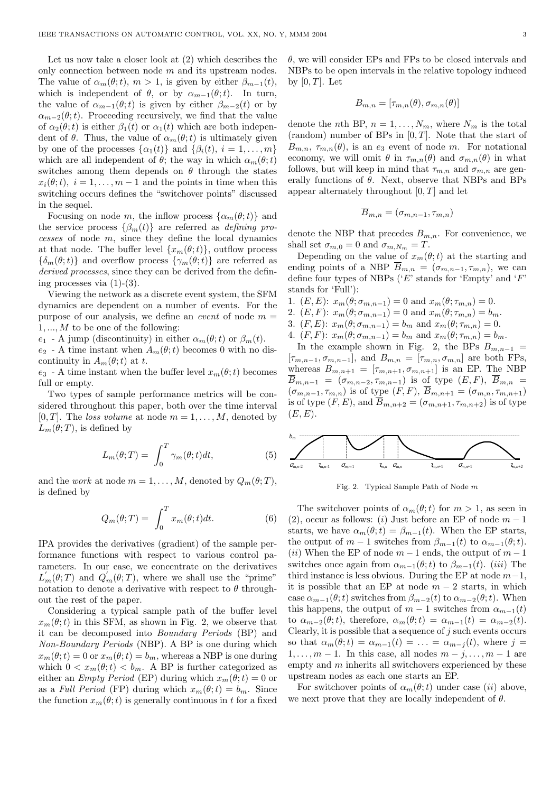Let us now take a closer look at (2) which describes the only connection between node m and its upstream nodes. The value of  $\alpha_m(\theta; t)$ ,  $m > 1$ , is given by either  $\beta_{m-1}(t)$ , which is independent of  $\theta$ , or by  $\alpha_{m-1}(\theta; t)$ . In turn, the value of  $\alpha_{m-1}(\theta;t)$  is given by either  $\beta_{m-2}(t)$  or by  $\alpha_{m-2}(\theta; t)$ . Proceeding recursively, we find that the value of  $\alpha_2(\theta; t)$  is either  $\beta_1(t)$  or  $\alpha_1(t)$  which are both independent of  $\theta$ . Thus, the value of  $\alpha_m(\theta; t)$  is ultimately given by one of the processes  $\{\alpha_1(t)\}\$  and  $\{\beta_i(t), i = 1, \ldots, m\}$ which are all independent of  $\theta$ ; the way in which  $\alpha_m(\theta; t)$ switches among them depends on  $\theta$  through the states  $x_i(\theta; t)$ ,  $i = 1, \ldots, m - 1$  and the points in time when this switching occurs defines the "switchover points" discussed in the sequel.

Focusing on node m, the inflow process  $\{\alpha_m(\theta; t)\}\$ and the service process  $\{\beta_m(t)\}\$ are referred as *defining pro*cesses of node m, since they define the local dynamics at that node. The buffer level  $\{x_m(\theta; t)\}\$ , outflow process  $\{\delta_m(\theta; t)\}\$  and overflow process  $\{\gamma_m(\theta; t)\}\$  are referred as derived processes, since they can be derived from the defining processes via  $(1)-(3)$ .

Viewing the network as a discrete event system, the SFM dynamics are dependent on a number of events. For the purpose of our analysis, we define an *event* of node  $m =$  $1, \ldots, M$  to be one of the following:

 $e_1$  - A jump (discontinuity) in either  $\alpha_m(\theta; t)$  or  $\beta_m(t)$ .

 $e_2$  - A time instant when  $A_m(\theta; t)$  becomes 0 with no discontinuity in  $A_m(\theta; t)$  at t.

 $e_3$  - A time instant when the buffer level  $x_m(\theta; t)$  becomes full or empty.

Two types of sample performance metrics will be considered throughout this paper, both over the time interval [0, T]. The loss volume at node  $m = 1, \ldots, M$ , denoted by  $L_m(\theta;T)$ , is defined by

$$
L_m(\theta;T) = \int_0^T \gamma_m(\theta;t)dt,
$$
\n(5)

and the work at node  $m = 1, \ldots, M$ , denoted by  $Q_m(\theta; T)$ , is defined by

$$
Q_m(\theta;T) = \int_0^T x_m(\theta;t)dt.
$$
 (6)

IPA provides the derivatives (gradient) of the sample performance functions with respect to various control parameters. In our case, we concentrate on the derivatives  $L'_m(\theta;T)$  and  $Q'_m(\theta;T)$ , where we shall use the "prime" notation to denote a derivative with respect to  $\theta$  throughout the rest of the paper.

Considering a typical sample path of the buffer level  $x_m(\theta; t)$  in this SFM, as shown in Fig. 2, we observe that it can be decomposed into Boundary Periods (BP) and Non-Boundary Periods (NBP). A BP is one during which  $x_m(\theta; t) = 0$  or  $x_m(\theta; t) = b_m$ , whereas a NBP is one during which  $0 < x_m(\theta; t) < b_m$ . A BP is further categorized as either an *Empty Period* (EP) during which  $x_m(\theta; t) = 0$  or as a Full Period (FP) during which  $x_m(\theta; t) = b_m$ . Since the function  $x_m(\theta; t)$  is generally continuous in t for a fixed

 $\theta$ , we will consider EPs and FPs to be closed intervals and NBPs to be open intervals in the relative topology induced by  $[0, T]$ . Let

$$
B_{m,n} = [\tau_{m,n}(\theta), \sigma_{m,n}(\theta)]
$$

denote the *n*th BP,  $n = 1, ..., N_m$ , where  $N_m$  is the total (random) number of BPs in  $[0, T]$ . Note that the start of  $B_{m,n}$ ,  $\tau_{m,n}(\theta)$ , is an  $e_3$  event of node m. For notational economy, we will omit  $\theta$  in  $\tau_{m,n}(\theta)$  and  $\sigma_{m,n}(\theta)$  in what follows, but will keep in mind that  $\tau_{m,n}$  and  $\sigma_{m,n}$  are generally functions of  $\theta$ . Next, observe that NBPs and BPs appear alternately throughout  $[0, T]$  and let

$$
\overline{B}_{m,n} = (\sigma_{m,n-1}, \tau_{m,n})
$$

denote the NBP that precedes  $B_{m,n}$ . For convenience, we shall set  $\sigma_{m,0} = 0$  and  $\sigma_{m,N_m} = T$ .

Depending on the value of  $x_m(\theta; t)$  at the starting and ending points of a NBP  $\overline{B}_{m,n} = (\sigma_{m,n-1}, \tau_{m,n})$ , we can define four types of NBPs ( $E$ ' stands for 'Empty' and 'F' stands for 'Full'):

1.  $(E, E): x_m(\theta; \sigma_{m,n-1}) = 0$  and  $x_m(\theta; \tau_{m,n}) = 0$ . 2.  $(E, F)$ :  $x_m(\theta; \sigma_{m,n-1}) = 0$  and  $x_m(\theta; \tau_{m,n}) = b_m$ . 3.  $(F, E): x_m(\theta; \sigma_{m,n-1}) = b_m$  and  $x_m(\theta; \tau_{m,n}) = 0$ .

4.  $(F, F)$ :  $x_m(\theta; \sigma_{m,n-1}) = b_m$  and  $x_m(\theta; \tau_{m,n}) = b_m$ .

In the example shown in Fig. 2, the BPs  $B_{m,n-1}$  =  $[\tau_{m,n-1}, \sigma_{m,n-1}]$ , and  $B_{m,n} = [\tau_{m,n}, \sigma_{m,n}]$  are both FPs, whereas  $B_{m,n+1} = [\tau_{m,n+1}, \sigma_{m,n+1}]$  is an EP. The NBP  $\overline{B}_{m,n-1}$  =  $(\sigma_{m,n-2}, \tau_{m,n-1})$  is of type  $(E, F)$ ,  $\overline{B}_{m,n}$  =  $(\sigma_{m,n-1}, \tau_{m,n})$  is of type  $(F, F)$ ,  $\overline{B}_{m,n+1} = (\sigma_{m,n}, \tau_{m,n+1})$ is of type  $(F, E)$ , and  $\overline{B}_{m,n+2} = (\sigma_{m,n+1}, \tau_{m,n+2})$  is of type  $(E, E).$ 



Fig. 2. Typical Sample Path of Node m

The switchover points of  $\alpha_m(\theta; t)$  for  $m > 1$ , as seen in (2), occur as follows: (i) Just before an EP of node  $m-1$ starts, we have  $\alpha_m(\theta; t) = \beta_{m-1}(t)$ . When the EP starts, the output of  $m-1$  switches from  $\beta_{m-1}(t)$  to  $\alpha_{m-1}(\theta; t)$ . (ii) When the EP of node  $m-1$  ends, the output of  $m-1$ switches once again from  $\alpha_{m-1}(\theta;t)$  to  $\beta_{m-1}(t)$ . (*iii*) The third instance is less obvious. During the EP at node  $m-1$ , it is possible that an EP at node  $m-2$  starts, in which case  $\alpha_{m-1}(\theta; t)$  switches from  $\beta_{m-2}(t)$  to  $\alpha_{m-2}(\theta; t)$ . When this happens, the output of  $m-1$  switches from  $\alpha_{m-1}(t)$ to  $\alpha_{m-2}(\theta;t)$ , therefore,  $\alpha_m(\theta;t) = \alpha_{m-1}(t) = \alpha_{m-2}(t)$ . Clearly, it is possible that a sequence of  $j$  such events occurs so that  $\alpha_m(\theta; t) = \alpha_{m-1}(t) = \ldots = \alpha_{m-j}(t)$ , where  $j =$  $1, \ldots, m-1$ . In this case, all nodes  $m - j, \ldots, m-1$  are empty and  $m$  inherits all switchovers experienced by these upstream nodes as each one starts an EP.

For switchover points of  $\alpha_m(\theta; t)$  under case *(ii)* above, we next prove that they are locally independent of  $\theta$ .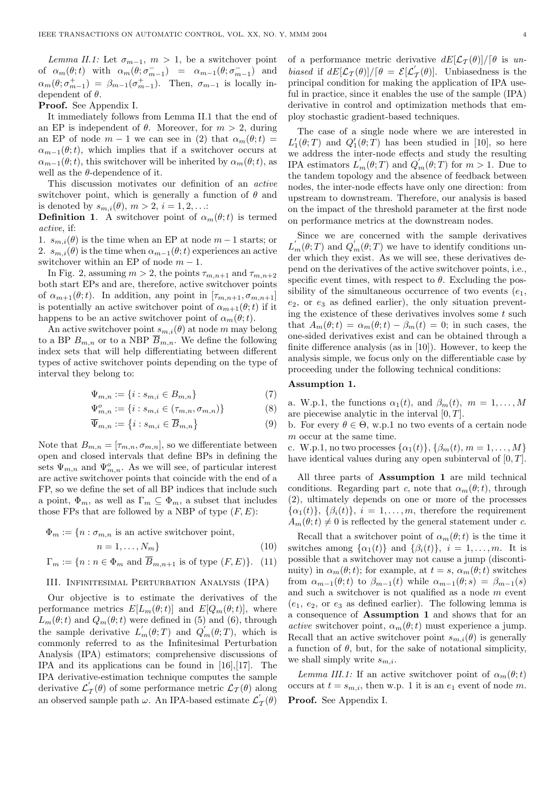Lemma II.1: Let  $\sigma_{m-1}$ ,  $m > 1$ , be a switchover point of  $\alpha_m(\theta; t)$  with  $\alpha_m(\theta; \sigma_{m-1}^-) = \alpha_{m-1}(\theta; \sigma_{m-1}^-)$  and  $\alpha_m(\theta; \sigma_{m-1}^+) = \beta_{m-1}(\sigma_{m-1}^+)$ . Then,  $\sigma_{m-1}$  is locally independent of  $\theta$ .

Proof. See Appendix I.

It immediately follows from Lemma II.1 that the end of an EP is independent of  $\theta$ . Moreover, for  $m > 2$ , during an EP of node  $m-1$  we can see in (2) that  $\alpha_m(\theta; t)$  =  $\alpha_{m-1}(\theta; t)$ , which implies that if a switchover occurs at  $\alpha_{m-1}(\theta;t)$ , this switchover will be inherited by  $\alpha_m(\theta;t)$ , as well as the  $\theta$ -dependence of it.

This discussion motivates our definition of an active switchover point, which is generally a function of  $\theta$  and is denoted by  $s_{m,i}(\theta)$ ,  $m > 2$ ,  $i = 1, 2, \ldots$ :

**Definition 1.** A switchover point of  $\alpha_m(\theta; t)$  is termed active, if:

1.  $s_{m,i}(\theta)$  is the time when an EP at node  $m-1$  starts; or 2.  $s_{m,i}(\theta)$  is the time when  $\alpha_{m-1}(\theta;t)$  experiences an active switchover within an EP of node  $m - 1$ .

In Fig. 2, assuming  $m > 2$ , the points  $\tau_{m,n+1}$  and  $\tau_{m,n+2}$ both start EPs and are, therefore, active switchover points of  $\alpha_{m+1}(\theta; t)$ . In addition, any point in  $[\tau_{m,n+1}, \sigma_{m,n+1}]$ is potentially an active switchover point of  $\alpha_{m+1}(\theta; t)$  if it happens to be an active switchover point of  $\alpha_m(\theta; t)$ .

An active switchover point  $s_{m,i}(\theta)$  at node m may belong to a BP  $B_{m,n}$  or to a NBP  $\overline{B}_{m,n}$ . We define the following index sets that will help differentiating between different types of active switchover points depending on the type of interval they belong to:

$$
\Psi_{m,n} := \{ i : s_{m,i} \in B_{m,n} \}
$$
\n(7)

$$
\Psi_{m,n}^{o} := \{ i : s_{m,i} \in (\tau_{m,n}, \sigma_{m,n}) \}
$$
\n(8)

$$
\overline{\Psi}_{m,n} := \{ i : s_{m,i} \in \overline{B}_{m,n} \}
$$
\n(9)

Note that  $B_{m,n} = [\tau_{m,n}, \sigma_{m,n}]$ , so we differentiate between open and closed intervals that define BPs in defining the sets  $\Psi_{m,n}$  and  $\Psi_{m,n}^o$ . As we will see, of particular interest are active switchover points that coincide with the end of a FP, so we define the set of all BP indices that include such a point,  $\Phi_m$ , as well as  $\Gamma_m \subseteq \Phi_m$ , a subset that includes those FPs that are followed by a NBP of type  $(F, E)$ :

$$
\Phi_m := \{ n : \sigma_{m,n} \text{ is an active switchover point,} \quad n = 1, \dots, N_m \}
$$
\n(10)

$$
\Gamma_m := \{ n : n \in \Phi_m \text{ and } \overline{B}_{m,n+1} \text{ is of type } (F, E) \}. \tag{11}
$$

## III. Infinitesimal Perturbation Analysis (IPA)

Our objective is to estimate the derivatives of the performance metrics  $E[L_m(\theta; t)]$  and  $E[Q_m(\theta; t)]$ , where  $L_m(\theta; t)$  and  $Q_m(\theta; t)$  were defined in (5) and (6), through the sample derivative  $L'_m(\theta;T)$  and  $Q'_m(\theta;T)$ , which is commonly referred to as the Infinitesimal Perturbation Analysis (IPA) estimators; comprehensive discussions of IPA and its applications can be found in [16],[17]. The IPA derivative-estimation technique computes the sample derivative  $\mathcal{L}_{\mathcal{T}}'(\theta)$  of some performance metric  $\mathcal{L}_{\mathcal{T}}(\theta)$  along an observed sample path  $\omega$ . An IPA-based estimate  $\mathcal{L}^{'}_{\mathcal{T}}(\theta)$ 

of a performance metric derivative  $dE[\mathcal{L}_{\mathcal{T}}(\theta)]/[\theta]$  is unbiased if  $dE[\mathcal{L}_{\mathcal{T}}(\theta)]/[\theta = \mathcal{E}[\mathcal{L}'_{\mathcal{T}}(\theta)].$  Unbiasedness is the principal condition for making the application of IPA useful in practice, since it enables the use of the sample (IPA) derivative in control and optimization methods that employ stochastic gradient-based techniques.

The case of a single node where we are interested in  $L'_1(\theta;T)$  and  $Q'_1(\theta;T)$  has been studied in [10], so here we address the inter-node effects and study the resulting IPA estimators  $L'_m(\theta;T)$  and  $Q'_m(\theta;T)$  for  $m>1$ . Due to the tandem topology and the absence of feedback between nodes, the inter-node effects have only one direction: from upstream to downstream. Therefore, our analysis is based on the impact of the threshold parameter at the first node on performance metrics at the downstream nodes.

Since we are concerned with the sample derivatives  $L'_m(\theta;T)$  and  $Q'_m(\theta;T)$  we have to identify conditions under which they exist. As we will see, these derivatives depend on the derivatives of the active switchover points, i.e., specific event times, with respect to  $\theta$ . Excluding the possibility of the simultaneous occurrence of two events  $(e_1,$  $e_2$ , or  $e_3$  as defined earlier), the only situation preventing the existence of these derivatives involves some  $t$  such that  $A_m(\theta; t) = \alpha_m(\theta; t) - \beta_m(t) = 0$ ; in such cases, the one-sided derivatives exist and can be obtained through a finite difference analysis (as in [10]). However, to keep the analysis simple, we focus only on the differentiable case by proceeding under the following technical conditions:

# Assumption 1.

a. W.p.1, the functions  $\alpha_1(t)$ , and  $\beta_m(t)$ ,  $m = 1, \ldots, M$ are piecewise analytic in the interval  $[0, T]$ .

b. For every  $\theta \in \Theta$ , w.p.1 no two events of a certain node m occur at the same time.

c. W.p.1, no two processes  $\{\alpha_1(t)\}, \{\beta_m(t), m = 1, ..., M\}$ have identical values during any open subinterval of  $[0, T]$ .

All three parts of Assumption 1 are mild technical conditions. Regarding part c, note that  $\alpha_m(\theta; t)$ , through (2), ultimately depends on one or more of the processes  $\{\alpha_1(t)\}, \{\beta_i(t)\}, i = 1, \ldots, m$ , therefore the requirement  $A_m(\theta; t) \neq 0$  is reflected by the general statement under c.

Recall that a switchover point of  $\alpha_m(\theta; t)$  is the time it switches among  $\{\alpha_1(t)\}\$  and  $\{\beta_i(t)\}\$ ,  $i = 1, \ldots, m$ . It is possible that a switchover may not cause a jump (discontinuity) in  $\alpha_m(\theta; t)$ ; for example, at  $t = s$ ,  $\alpha_m(\theta; t)$  switches from  $\alpha_{m-1}(\theta;t)$  to  $\beta_{m-1}(t)$  while  $\alpha_{m-1}(\theta;s) = \beta_{m-1}(s)$ and such a switchover is not qualified as a node  $m$  event  $(e_1, e_2, \text{ or } e_3 \text{ as defined earlier}).$  The following lemma is a consequence of Assumption 1 and shows that for an *active* switchover point,  $\alpha_m(\theta; t)$  must experience a jump. Recall that an active switchover point  $s_{m,i}(\theta)$  is generally a function of  $\theta$ , but, for the sake of notational simplicity, we shall simply write  $s_{m,i}$ .

Lemma III.1: If an active switchover point of  $\alpha_m(\theta; t)$ occurs at  $t = s_{m,i}$ , then w.p. 1 it is an  $e_1$  event of node m. Proof. See Appendix I.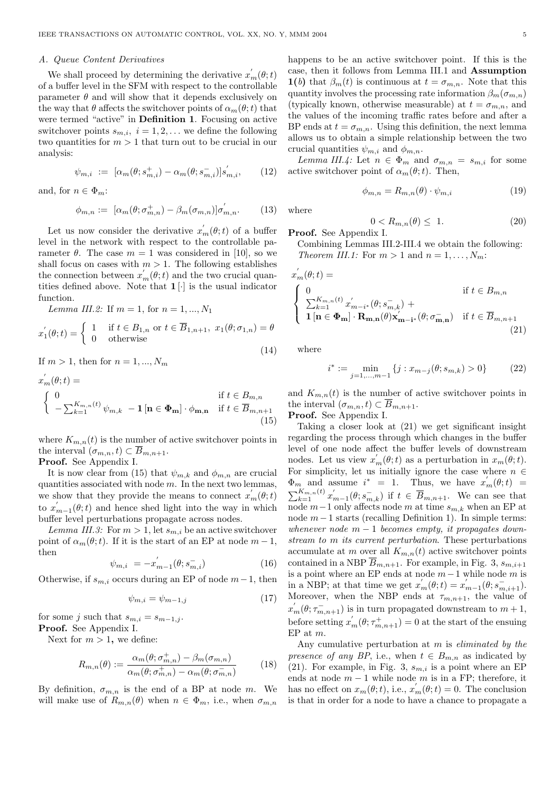#### A. Queue Content Derivatives

We shall proceed by determining the derivative  $x_m^{'}(\theta; t)$ of a buffer level in the SFM with respect to the controllable parameter  $\theta$  and will show that it depends exclusively on the way that  $\theta$  affects the switchover points of  $\alpha_m(\theta; t)$  that were termed "active" in Definition 1. Focusing on active switchover points  $s_{m,i}$ ,  $i = 1, 2, \ldots$  we define the following two quantities for  $m > 1$  that turn out to be crucial in our analysis:

$$
\psi_{m,i} := [\alpha_m(\theta; s_{m,i}^+) - \alpha_m(\theta; s_{m,i}^-)]s_{m,i}', \qquad (12)
$$

and, for  $n \in \Phi_m$ :

$$
\phi_{m,n} := [\alpha_m(\theta; \sigma_{m,n}^+) - \beta_m(\sigma_{m,n})] \sigma'_{m,n}.
$$
 (13)

Let us now consider the derivative  $x'_m(\theta; t)$  of a buffer level in the network with respect to the controllable parameter  $\theta$ . The case  $m = 1$  was considered in [10], so we shall focus on cases with  $m > 1$ . The following establishes the connection between  $x'_m(\theta; t)$  and the two crucial quantities defined above. Note that  $1[\cdot]$  is the usual indicator function.

Lemma III.2: If  $m = 1$ , for  $n = 1, ..., N_1$ 

$$
x_1^{'}(\theta; t) = \begin{cases} 1 & \text{if } t \in B_{1,n} \text{ or } t \in \overline{B}_{1,n+1}, x_1(\theta; \sigma_{1,n}) = \theta \\ 0 & \text{otherwise} \end{cases}
$$

If  $m > 1$ , then for  $n = 1, ..., N_m$ 

$$
x'_{m}(\theta; t) =
$$
  
\n
$$
\begin{cases}\n0 & \text{if } t \in B_{m,n} \\
-\sum_{k=1}^{K_{m,n}(t)} \psi_{m,k} - 1 \left[ \mathbf{n} \in \Phi_{m} \right] \cdot \phi_{m,n} & \text{if } t \in \overline{B}_{m,n+1} \\
(15)\n\end{cases}
$$

where  $K_{m,n}(t)$  is the number of active switchover points in the interval  $(\sigma_{m,n}, t) \subset \overline{B}_{m,n+1}.$ 

Proof. See Appendix I.

It is now clear from (15) that  $\psi_{m,k}$  and  $\phi_{m,n}$  are crucial quantities associated with node  $m$ . In the next two lemmas, we show that they provide the means to connect  $x'_{m}(\theta; t)$ to  $x'_{m-1}(\theta; t)$  and hence shed light into the way in which buffer level perturbations propagate across nodes.

Lemma III.3: For  $m > 1$ , let  $s_{m,i}$  be an active switchover point of  $\alpha_m(\theta; t)$ . If it is the start of an EP at node  $m-1$ , then

$$
\psi_{m,i} = -x'_{m-1}(\theta; s_{m,i}^-)
$$
\n(16)

Otherwise, if  $s_{m,i}$  occurs during an EP of node  $m-1$ , then

$$
\psi_{m,i} = \psi_{m-1,j} \tag{17}
$$

for some j such that  $s_{m,i} = s_{m-1,j}$ . Proof. See Appendix I.

Next for  $m > 1$ , we define:

$$
R_{m,n}(\theta) := \frac{\alpha_m(\theta; \sigma_{m,n}^+) - \beta_m(\sigma_{m,n})}{\alpha_m(\theta; \sigma_{m,n}^+) - \alpha_m(\theta; \sigma_{m,n}^-)} \tag{18}
$$

By definition,  $\sigma_{m,n}$  is the end of a BP at node m. We will make use of  $R_{m,n}(\theta)$  when  $n \in \Phi_m$ , i.e., when  $\sigma_{m,n}$ 

happens to be an active switchover point. If this is the case, then it follows from Lemma III.1 and Assumption 1(b) that  $\beta_m(t)$  is continuous at  $t = \sigma_{m,n}$ . Note that this quantity involves the processing rate information  $\beta_m(\sigma_{m,n})$ (typically known, otherwise measurable) at  $t = \sigma_{m,n}$ , and the values of the incoming traffic rates before and after a BP ends at  $t = \sigma_{m,n}$ . Using this definition, the next lemma allows us to obtain a simple relationship between the two crucial quantities  $\psi_{m,i}$  and  $\phi_{m,n}$ .

Lemma III.4: Let  $n \in \Phi_m$  and  $\sigma_{m,n} = s_{m,i}$  for some active switchover point of  $\alpha_m(\theta; t)$ . Then,

$$
\phi_{m,n} = R_{m,n}(\theta) \cdot \psi_{m,i} \tag{19}
$$

where

$$
0 < R_{m,n}(\theta) \le 1. \tag{20}
$$

Proof. See Appendix I.

Combining Lemmas III.2-III.4 we obtain the following: Theorem III.1: For  $m > 1$  and  $n = 1, \ldots, N_m$ :

$$
x'_{m}(\theta; t) = \qquad \qquad \text{if } t \in B_{m,n}
$$
\n
$$
\begin{cases}\n0 & \text{if } t \in B_{m,n} \\
\sum_{k=1}^{K_{m,n}(t)} x'_{m-i^*}(\theta; s_{m,k}^-) + \mathbf{1}[\mathbf{n} \in \Phi_{m}] \cdot \mathbf{R}_{m,n}(\theta) \mathbf{x}'_{m-i^*}(\theta; \sigma_{m,n}^-) & \text{if } t \in \overline{B}_{m,n+1} \\
\end{cases}
$$
\n(21)

where

(14)

$$
i^* := \min_{j=1,\dots,m-1} \{ j : x_{m-j}(\theta; s_{m,k}) > 0 \}
$$
 (22)

and  $K_{m,n}(t)$  is the number of active switchover points in the interval  $(\sigma_{m,n}, t) \subset \overline{B}_{m,n+1}$ .

Proof. See Appendix I.

Taking a closer look at (21) we get significant insight regarding the process through which changes in the buffer level of one node affect the buffer levels of downstream nodes. Let us view  $x'_{m}(\theta; t)$  as a perturbation in  $x_{m}(\theta; t)$ . For simplicity, let us initially ignore the case where  $n \in$  $\Phi_m$  and assume  $i^* = 1$ . Thus, we have  $x'_m(\theta; t) =$  $\sum_{k=1}^{K_{m,n}(t)} x'_{m-1}(\theta; s_{m,k}^-)$  if  $t \in \overline{B}_{m,n+1}$ . We can see that node  $m-1$  only affects node m at time  $s_{m,k}$  when an EP at node  $m-1$  starts (recalling Definition 1). In simple terms: whenever node  $m-1$  becomes empty, it propagates downstream to m its current perturbation. These perturbations accumulate at m over all  $K_{m,n}(t)$  active switchover points contained in a NBP  $\overline{B}_{m,n+1}$ . For example, in Fig. 3,  $s_{m,i+1}$ is a point where an EP ends at node  $m-1$  while node m is in a NBP; at that time we get  $x'_m(\theta; t) = x'_{m-1}(\theta; s_{m,i+1}^-)$ . Moreover, when the NBP ends at  $\tau_{m,n+1}$ , the value of  $x'_{m}(\theta; \tau_{m,n+1}^{-})$  is in turn propagated downstream to  $m+1$ , before setting  $x'_{m}(\theta; \tau^{+}_{m,n+1}) = 0$  at the start of the ensuing EP at m.

Any cumulative perturbation at m is eliminated by the presence of any BP, i.e., when  $t \in B_{m,n}$  as indicated by (21). For example, in Fig. 3,  $s_{m,i}$  is a point where an EP ends at node  $m - 1$  while node m is in a FP; therefore, it has no effect on  $x_m(\theta; t)$ , i.e.,  $x'_m(\theta; t) = 0$ . The conclusion is that in order for a node to have a chance to propagate a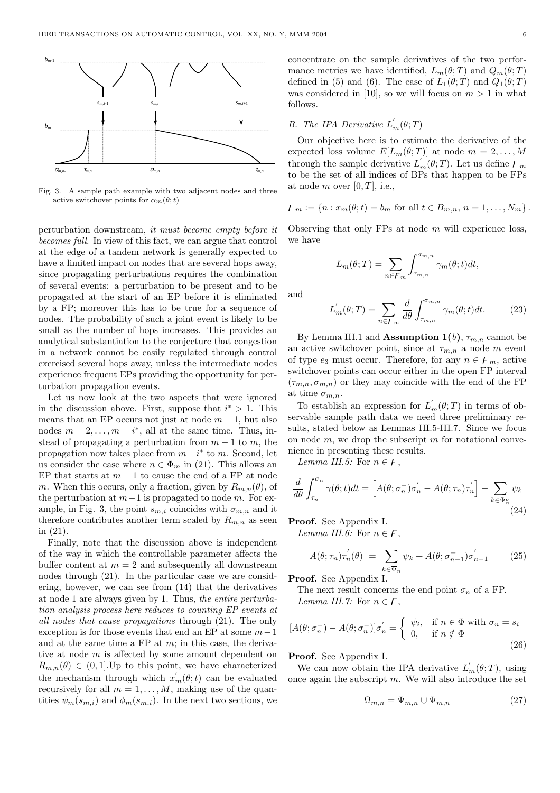

Fig. 3. A sample path example with two adjacent nodes and three active switchover points for  $\alpha_m(\theta; t)$ 

perturbation downstream, it must become empty before it becomes full. In view of this fact, we can argue that control at the edge of a tandem network is generally expected to have a limited impact on nodes that are several hops away, since propagating perturbations requires the combination of several events: a perturbation to be present and to be propagated at the start of an EP before it is eliminated by a FP; moreover this has to be true for a sequence of nodes. The probability of such a joint event is likely to be small as the number of hops increases. This provides an analytical substantiation to the conjecture that congestion in a network cannot be easily regulated through control exercised several hops away, unless the intermediate nodes experience frequent EPs providing the opportunity for perturbation propagation events.

Let us now look at the two aspects that were ignored in the discussion above. First, suppose that  $i^* > 1$ . This means that an EP occurs not just at node  $m - 1$ , but also nodes  $m-2,\ldots,m-i^*$ , all at the same time. Thus, instead of propagating a perturbation from  $m - 1$  to m, the propagation now takes place from  $m-i^*$  to m. Second, let us consider the case where  $n \in \Phi_m$  in (21). This allows an EP that starts at  $m-1$  to cause the end of a FP at node m. When this occurs, only a fraction, given by  $R_{m,n}(\theta)$ , of the perturbation at  $m-1$  is propagated to node m. For example, in Fig. 3, the point  $s_{m,i}$  coincides with  $\sigma_{m,n}$  and it therefore contributes another term scaled by  $R_{m,n}$  as seen in (21).

Finally, note that the discussion above is independent of the way in which the controllable parameter affects the buffer content at  $m = 2$  and subsequently all downstream nodes through (21). In the particular case we are considering, however, we can see from (14) that the derivatives at node 1 are always given by 1. Thus, the entire perturbation analysis process here reduces to counting EP events at all nodes that cause propagations through (21). The only exception is for those events that end an EP at some  $m-1$ and at the same time a  $FP$  at  $m$ ; in this case, the derivative at node m is affected by some amount dependent on  $R_{m,n}(\theta) \in (0,1].$ Up to this point, we have characterized the mechanism through which  $x'_m(\theta; t)$  can be evaluated recursively for all  $m = 1, \ldots, M$ , making use of the quantities  $\psi_m(s_{m,i})$  and  $\phi_m(s_{m,i})$ . In the next two sections, we

concentrate on the sample derivatives of the two performance metrics we have identified,  $L_m(\theta;T)$  and  $Q_m(\theta;T)$ defined in (5) and (6). The case of  $L_1(\theta;T)$  and  $Q_1(\theta;T)$ was considered in [10], so we will focus on  $m > 1$  in what follows.

# B. The IPA Derivative  $L_m(\theta;T)$

Our objective here is to estimate the derivative of the expected loss volume  $E[L_m(\theta; T)]$  at node  $m = 2, ..., M$ through the sample derivative  $L'_m(\theta;T)$ . Let us define  $\mathcal{F}_m$ to be the set of all indices of BPs that happen to be FPs at node m over  $[0, T]$ , i.e.,

$$
F_m := \{ n : x_m(\theta; t) = b_m \text{ for all } t \in B_{m,n}, n = 1, ..., N_m \}.
$$

Observing that only  $FPs$  at node m will experience loss, we have

$$
L_m(\theta;T) = \sum_{n \in F_m} \int_{\tau_{m,n}}^{\sigma_{m,n}} \gamma_m(\theta;t)dt,
$$

and

$$
L'_{m}(\theta;T) = \sum_{n \in F_m} \frac{d}{d\theta} \int_{\tau_{m,n}}^{\sigma_{m,n}} \gamma_m(\theta;t) dt.
$$
 (23)

By Lemma III.1 and **Assumption 1(b)**,  $\tau_{m,n}$  cannot be an active switchover point, since at  $\tau_{m,n}$  a node m event of type  $e_3$  must occur. Therefore, for any  $n \in F_m$ , active switchover points can occur either in the open FP interval  $(\tau_{m,n}, \sigma_{m,n})$  or they may coincide with the end of the FP at time  $\sigma_{m,n}$ .

To establish an expression for  $L'_m(\theta;T)$  in terms of observable sample path data we need three preliminary results, stated below as Lemmas III.5-III.7. Since we focus on node  $m$ , we drop the subscript  $m$  for notational convenience in presenting these results.

Lemma III.5: For  $n \in F$ ,

$$
\frac{d}{d\theta} \int_{\tau_n}^{\sigma_n} \gamma(\theta; t) dt = \left[ A(\theta; \sigma_n^-) \sigma_n' - A(\theta; \tau_n) \tau_n' \right] - \sum_{k \in \Psi_n^o} \psi_k
$$
\n(24)

Proof. See Appendix I.

Lemma III.6: For  $n \in F$ ,

$$
A(\theta; \tau_n)\tau'_n(\theta) = \sum_{k \in \overline{\Psi}_n} \psi_k + A(\theta; \sigma^+_{n-1})\sigma'_{n-1} \qquad (25)
$$

Proof. See Appendix I.

The next result concerns the end point  $\sigma_n$  of a FP. Lemma III.7: For  $n \in F$ ,

$$
[A(\theta; \sigma_n^+) - A(\theta; \sigma_n^-)]\sigma_n' = \begin{cases} \psi_i, & \text{if } n \in \Phi \text{ with } \sigma_n = s_i \\ 0, & \text{if } n \notin \Phi \end{cases}
$$
(26)

Proof. See Appendix I.

We can now obtain the IPA derivative  $L'_m(\theta;T)$ , using once again the subscript  $m$ . We will also introduce the set

$$
\Omega_{m,n} = \Psi_{m,n} \cup \overline{\Psi}_{m,n} \tag{27}
$$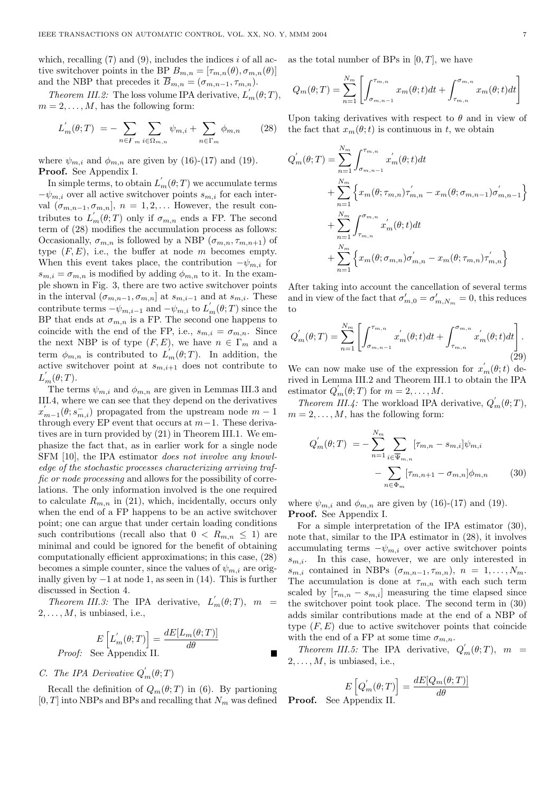which, recalling  $(7)$  and  $(9)$ , includes the indices i of all active switchover points in the BP  $B_{m,n} = [\tau_{m,n}(\theta), \sigma_{m,n}(\theta)]$ and the NBP that precedes it  $\overline{B}_{m,n} = (\sigma_{m,n-1}, \tau_{m,n}).$ 

*Theorem III.2:* The loss volume IPA derivative,  $L'_m(\theta;T)$ ,  $m = 2, \ldots, M$ , has the following form:

$$
L'_{m}(\theta;T) = -\sum_{n \in F_m} \sum_{i \in \Omega_{m,n}} \psi_{m,i} + \sum_{n \in \Gamma_m} \phi_{m,n} \qquad (28)
$$

where  $\psi_{m,i}$  and  $\phi_{m,n}$  are given by (16)-(17) and (19). Proof. See Appendix I.

In simple terms, to obtain  $L'_m(\theta;T)$  we accumulate terms  $-\psi_{m,i}$  over all active switchover points  $s_{m,i}$  for each interval  $(\sigma_{m,n-1}, \sigma_{m,n}], n = 1, 2, \ldots$  However, the result contributes to  $L'_m(\theta,T)$  only if  $\sigma_{m,n}$  ends a FP. The second term of (28) modifies the accumulation process as follows: Occasionally,  $\sigma_{m,n}$  is followed by a NBP  $(\sigma_{m,n}, \tau_{m,n+1})$  of type  $(F, E)$ , i.e., the buffer at node m becomes empty. When this event takes place, the contribution  $-\psi_{m,i}$  for  $s_{m,i} = \sigma_{m,n}$  is modified by adding  $\phi_{m,n}$  to it. In the example shown in Fig. 3, there are two active switchover points in the interval  $(\sigma_{m,n-1}, \sigma_{m,n})$  at  $s_{m,i-1}$  and at  $s_{m,i}$ . These contribute terms  $-\psi_{m,i-1}$  and  $-\psi_{m,i}$  to  $L'_m(\theta;T)$  since the BP that ends at  $\sigma_{m,n}$  is a FP. The second one happens to coincide with the end of the FP, i.e.,  $s_{m,i} = \sigma_{m,n}$ . Since the next NBP is of type  $(F, E)$ , we have  $n \in \Gamma_m$  and a term  $\phi_{m,n}$  is contributed to  $L_m(\theta;T)$ . In addition, the active switchover point at  $s_{m,i+1}$  does not contribute to  $L'_m(\theta;T)$ .

The terms  $\psi_{m,i}$  and  $\phi_{m,n}$  are given in Lemmas III.3 and III.4, where we can see that they depend on the derivatives  $x'_{m-1}(\theta; s^-_{m,i})$  propagated from the upstream node  $m-1$ through every EP event that occurs at  $m-1$ . These derivatives are in turn provided by (21) in Theorem III.1. We emphasize the fact that, as in earlier work for a single node SFM [10], the IPA estimator does not involve any knowledge of the stochastic processes characterizing arriving traffic or node processing and allows for the possibility of correlations. The only information involved is the one required to calculate  $R_{m,n}$  in (21), which, incidentally, occurs only when the end of a FP happens to be an active switchover point; one can argue that under certain loading conditions such contributions (recall also that  $0 < R_{m,n} \leq 1$ ) are minimal and could be ignored for the benefit of obtaining computationally efficient approximations; in this case, (28) becomes a simple counter, since the values of  $\psi_{m,i}$  are originally given by  $-1$  at node 1, as seen in (14). This is further discussed in Section 4.

Theorem III.3: The IPA derivative,  $L'_m(\theta;T)$ ,  $m =$  $2, \ldots, M$ , is unbiased, i.e.,

$$
E\left[L_m'(\theta;T)\right] = \frac{dE[L_m(\theta;T)]}{d\theta}
$$
*Proof:* See Appendix II.

# C. The IPA Derivative  $Q'_{m}(\theta;T)$

Recall the definition of  $Q_m(\theta;T)$  in (6). By partioning  $[0, T]$  into NBPs and BPs and recalling that  $N_m$  was defined as the total number of BPs in  $[0, T]$ , we have

$$
Q_m(\theta;T) = \sum_{n=1}^{N_m} \left[ \int_{\sigma_{m,n-1}}^{\tau_{m,n}} x_m(\theta;t)dt + \int_{\tau_{m,n}}^{\sigma_{m,n}} x_m(\theta;t)dt \right]
$$

Upon taking derivatives with respect to  $\theta$  and in view of the fact that  $x_m(\theta; t)$  is continuous in t, we obtain

$$
Q'_{m}(\theta;T) = \sum_{n=1}^{N_{m}} \int_{\sigma_{m,n-1}}^{\tau_{m,n}} x'_{m}(\theta;t)dt + \sum_{n=1}^{N_{m}} \left\{ x_{m}(\theta;\tau_{m,n})\tau'_{m,n} - x_{m}(\theta;\sigma_{m,n-1})\sigma'_{m,n-1} \right\} + \sum_{n=1}^{N_{m}} \int_{\tau_{m,n}}^{\sigma_{m,n}} x'_{m}(\theta;t)dt + \sum_{n=1}^{N_{m}} \left\{ x_{m}(\theta;\sigma_{m,n})\sigma'_{m,n} - x_{m}(\theta;\tau_{m,n})\tau'_{m,n} \right\}
$$

After taking into account the cancellation of several terms and in view of the fact that  $\sigma'_{m,0} = \sigma'_{m,N_m} = 0$ , this reduces to

$$
Q'_{m}(\theta;T) = \sum_{n=1}^{N_{m}} \left[ \int_{\sigma_{m,n-1}}^{\tau_{m,n}} x'_{m}(\theta;t)dt + \int_{\tau_{m,n}}^{\sigma_{m,n}} x'_{m}(\theta;t)dt \right].
$$
\n(29)

We can now make use of the expression for  $x'_{m}(\theta; t)$  derived in Lemma III.2 and Theorem III.1 to obtain the IPA estimator  $Q'_{m}(\theta;T)$  for  $m = 2, ..., M$ .

Theorem III.4: The workload IPA derivative,  $Q'_m(\theta;T)$ ,  $m = 2, \ldots, M$ , has the following form:

$$
Q'_{m}(\theta;T) = -\sum_{n=1}^{N_{m}} \sum_{i \in \overline{\Psi}_{m,n}} [\tau_{m,n} - s_{m,i}] \psi_{m,i} - \sum_{n \in \Phi_{m}} [\tau_{m,n+1} - \sigma_{m,n}] \phi_{m,n}
$$
(30)

where  $\psi_{m,i}$  and  $\phi_{m,n}$  are given by (16)-(17) and (19). Proof. See Appendix I.

For a simple interpretation of the IPA estimator (30), note that, similar to the IPA estimator in (28), it involves accumulating terms  $-\psi_{m,i}$  over active switchover points  $s_{m,i}$ . In this case, however, we are only interested in  $s_{m,i}$  contained in NBPs  $(\sigma_{m,n-1}, \tau_{m,n}), n = 1, \ldots, N_m.$ The accumulation is done at  $\tau_{m,n}$  with each such term scaled by  $[\tau_{m,n} - s_{m,i}]$  measuring the time elapsed since the switchover point took place. The second term in (30) adds similar contributions made at the end of a NBP of type  $(F, E)$  due to active switchover points that coincide with the end of a FP at some time  $\sigma_{m,n}$ .

Theorem III.5: The IPA derivative,  $Q'_m(\theta;T)$ ,  $m =$  $2, \ldots, M$ , is unbiased, i.e.,

$$
E\left[Q'_{m}(\theta;T)\right] = \frac{dE[Q_{m}(\theta;T)]}{d\theta}
$$
  
Appendix II

Proof. See Appendix II.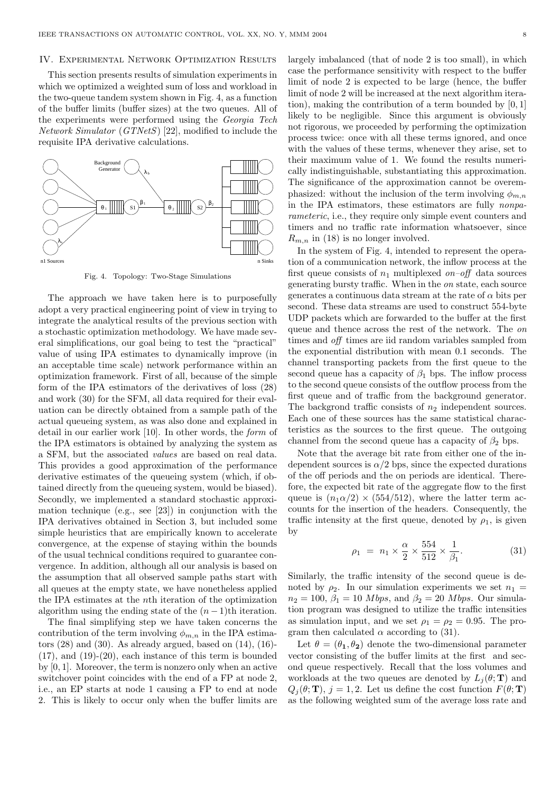#### IV. Experimental Network Optimization Results

This section presents results of simulation experiments in which we optimized a weighted sum of loss and workload in the two-queue tandem system shown in Fig. 4, as a function of the buffer limits (buffer sizes) at the two queues. All of the experiments were performed using the Georgia Tech Network Simulator (GTNetS) [22], modified to include the requisite IPA derivative calculations.



Fig. 4. Topology: Two-Stage Simulations

The approach we have taken here is to purposefully adopt a very practical engineering point of view in trying to integrate the analytical results of the previous section with a stochastic optimization methodology. We have made several simplifications, our goal being to test the "practical" value of using IPA estimates to dynamically improve (in an acceptable time scale) network performance within an optimization framework. First of all, because of the simple form of the IPA estimators of the derivatives of loss (28) and work (30) for the SFM, all data required for their evaluation can be directly obtained from a sample path of the actual queueing system, as was also done and explained in detail in our earlier work [10]. In other words, the form of the IPA estimators is obtained by analyzing the system as a SFM, but the associated values are based on real data. This provides a good approximation of the performance derivative estimates of the queueing system (which, if obtained directly from the queueing system, would be biased). Secondly, we implemented a standard stochastic approximation technique (e.g., see [23]) in conjunction with the IPA derivatives obtained in Section 3, but included some simple heuristics that are empirically known to accelerate convergence, at the expense of staying within the bounds of the usual technical conditions required to guarantee convergence. In addition, although all our analysis is based on the assumption that all observed sample paths start with all queues at the empty state, we have nonetheless applied the IPA estimates at the nth iteration of the optimization algorithm using the ending state of the  $(n-1)$ th iteration.

The final simplifying step we have taken concerns the contribution of the term involving  $\phi_{m,n}$  in the IPA estimators  $(28)$  and  $(30)$ . As already argued, based on  $(14)$ ,  $(16)$ -(17), and (19)-(20), each instance of this term is bounded by [0, 1]. Moreover, the term is nonzero only when an active switchover point coincides with the end of a FP at node 2, i.e., an EP starts at node 1 causing a FP to end at node 2. This is likely to occur only when the buffer limits are largely imbalanced (that of node 2 is too small), in which case the performance sensitivity with respect to the buffer limit of node 2 is expected to be large (hence, the buffer limit of node 2 will be increased at the next algorithm iteration), making the contribution of a term bounded by [0, 1] likely to be negligible. Since this argument is obviously not rigorous, we proceeded by performing the optimization process twice: once with all these terms ignored, and once with the values of these terms, whenever they arise, set to their maximum value of 1. We found the results numerically indistinguishable, substantiating this approximation. The significance of the approximation cannot be overemphasized: without the inclusion of the term involving  $\phi_{m,n}$ in the IPA estimators, these estimators are fully nonparameteric, i.e., they require only simple event counters and timers and no traffic rate information whatsoever, since  $R_{m,n}$  in (18) is no longer involved.

In the system of Fig. 4, intended to represent the operation of a communication network, the inflow process at the first queue consists of  $n_1$  multiplexed on–off data sources generating bursty traffic. When in the on state, each source generates a continuous data stream at the rate of  $\alpha$  bits per second. These data streams are used to construct 554-byte UDP packets which are forwarded to the buffer at the first queue and thence across the rest of the network. The on times and off times are iid random variables sampled from the exponential distribution with mean 0.1 seconds. The channel transporting packets from the first queue to the second queue has a capacity of  $\beta_1$  bps. The inflow process to the second queue consists of the outflow process from the first queue and of traffic from the background generator. The backgrond traffic consists of  $n_2$  independent sources. Each one of these sources has the same statistical characteristics as the sources to the first queue. The outgoing channel from the second queue has a capacity of  $\beta_2$  bps.

Note that the average bit rate from either one of the independent sources is  $\alpha/2$  bps, since the expected durations of the off periods and the on periods are identical. Therefore, the expected bit rate of the aggregate flow to the first queue is  $(n_1 \alpha/2) \times (554/512)$ , where the latter term accounts for the insertion of the headers. Consequently, the traffic intensity at the first queue, denoted by  $\rho_1$ , is given by

$$
\rho_1 = n_1 \times \frac{\alpha}{2} \times \frac{554}{512} \times \frac{1}{\beta_1}.
$$
 (31)

Similarly, the traffic intensity of the second queue is denoted by  $\rho_2$ . In our simulation experiments we set  $n_1 =$  $n_2 = 100, \beta_1 = 10 \text{ Mbps}, \text{ and } \beta_2 = 20 \text{ Mbps}.$  Our simulation program was designed to utilize the traffic intensities as simulation input, and we set  $\rho_1 = \rho_2 = 0.95$ . The program then calculated  $\alpha$  according to (31).

Let  $\theta = (\theta_1, \theta_2)$  denote the two-dimensional parameter vector consisting of the buffer limits at the first and second queue respectively. Recall that the loss volumes and workloads at the two queues are denoted by  $L_i(\theta; \mathbf{T})$  and  $Q_i(\theta; \mathbf{T}), i = 1, 2$ . Let us define the cost function  $F(\theta; \mathbf{T})$ as the following weighted sum of the average loss rate and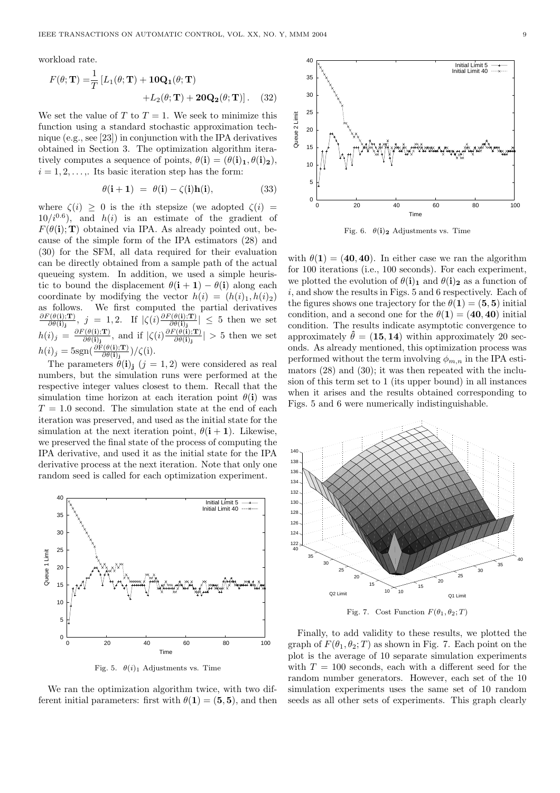workload rate.

$$
F(\theta; \mathbf{T}) = \frac{1}{T} \left[ L_1(\theta; \mathbf{T}) + \mathbf{10Q_1}(\theta; \mathbf{T}) + L_2(\theta; \mathbf{T}) + 2\mathbf{0Q_2}(\theta; \mathbf{T}) \right].
$$
 (32)

We set the value of T to  $T = 1$ . We seek to minimize this function using a standard stochastic approximation technique (e.g., see [23]) in conjunction with the IPA derivatives obtained in Section 3. The optimization algorithm iteratively computes a sequence of points,  $\theta(i) = (\theta(i)_1, \theta(i)_2),$  $i = 1, 2, \ldots$ . Its basic iteration step has the form:

$$
\theta(\mathbf{i} + \mathbf{1}) = \theta(\mathbf{i}) - \zeta(\mathbf{i})\mathbf{h}(\mathbf{i}), \tag{33}
$$

where  $\zeta(i) \geq 0$  is the *i*th stepsize (we adopted  $\zeta(i)$  =  $10/i^{0.6}$ , and  $h(i)$  is an estimate of the gradient of  $F(\theta(i); T)$  obtained via IPA. As already pointed out, because of the simple form of the IPA estimators (28) and (30) for the SFM, all data required for their evaluation can be directly obtained from a sample path of the actual queueing system. In addition, we used a simple heuristic to bound the displacement  $\theta(i + 1) - \theta(i)$  along each coordinate by modifying the vector  $h(i) = (h(i)_1, h(i)_2)$ as follows. We first computed the partial derivatives  $\partial F(\theta(\mathbf{i});\mathbf{T})$  $\frac{\Gamma(\theta(i);{\bf T})}{\partial \theta(i)_j}, \; j = 1,2.$  If  $|\zeta(i)\frac{\partial F(\theta(i);{\bf T})}{\partial \theta(i)_j}$  $\left|\frac{\partial \theta(i);T}{\partial \theta(i)}\right| \leq 5$  then we set  $h(i)_j = \frac{\partial F(\theta(i); \mathbf{T})}{\partial \theta(i)}$  $\frac{\partial \bar{\theta}(\theta(i); \mathbf{T})}{\partial \theta(i)_j}$ , and if  $|\zeta(i) \frac{\partial F(\theta(i); \mathbf{T})}{\partial \theta(i)_j}$  $\frac{\partial \theta(i)}{\partial \theta(i)}$  > 5 then we set  $h(i)_j = 5 \text{sgn}(\frac{\partial \text{F}(\theta(i); \text{T})}{\partial \theta(i)_j}) / \zeta(i).$ 

The parameters  $\dot{\theta}$ (i)<sub>i</sub> (j = 1, 2) were considered as real numbers, but the simulation runs were performed at the respective integer values closest to them. Recall that the simulation time horizon at each iteration point  $\theta(i)$  was  $T = 1.0$  second. The simulation state at the end of each iteration was preserved, and used as the initial state for the simulation at the next iteration point,  $\theta(i+1)$ . Likewise, we preserved the final state of the process of computing the IPA derivative, and used it as the initial state for the IPA derivative process at the next iteration. Note that only one random seed is called for each optimization experiment.



Fig. 5.  $\theta(i)_1$  Adjustments vs. Time

We ran the optimization algorithm twice, with two different initial parameters: first with  $\theta(1) = (5, 5)$ , and then

 40 Initial Limit 5 Initial Limit 40 35 30 25 Queue 2 Limit Queue 2 Limit 20 15 10 5  $0\frac{L}{0}$  0 20 40 60 80 100 Time

Fig. 6.  $\theta(i)_2$  Adjustments vs. Time

with  $\theta(1) = (40, 40)$ . In either case we ran the algorithm for 100 iterations (i.e., 100 seconds). For each experiment, we plotted the evolution of  $\theta(i)_1$  and  $\theta(i)_2$  as a function of i, and show the results in Figs. 5 and 6 respectively. Each of the figures shows one trajectory for the  $\theta(1) = (5, 5)$  initial condition, and a second one for the  $\theta(1) = (40, 40)$  initial condition. The results indicate asymptotic convergence to approximately  $\hat{\theta} = (15, 14)$  within approximately 20 seconds. As already mentioned, this optimization process was performed without the term involving  $\phi_{m,n}$  in the IPA estimators (28) and (30); it was then repeated with the inclusion of this term set to 1 (its upper bound) in all instances when it arises and the results obtained corresponding to Figs. 5 and 6 were numerically indistinguishable.



Finally, to add validity to these results, we plotted the graph of  $F(\theta_1, \theta_2; T)$  as shown in Fig. 7. Each point on the plot is the average of 10 separate simulation experiments with  $T = 100$  seconds, each with a different seed for the random number generators. However, each set of the 10 simulation experiments uses the same set of 10 random seeds as all other sets of experiments. This graph clearly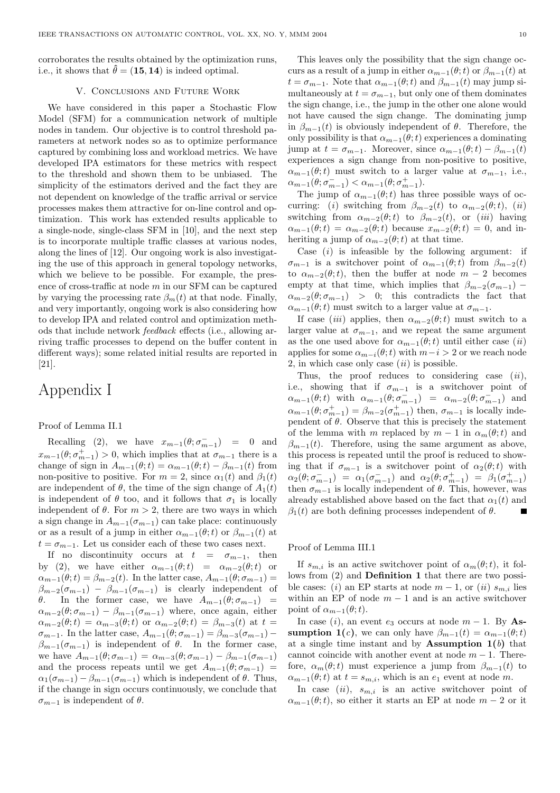corroborates the results obtained by the optimization runs, i.e., it shows that  $\hat{\theta} = (15, 14)$  is indeed optimal.

#### V. Conclusions and Future Work

We have considered in this paper a Stochastic Flow Model (SFM) for a communication network of multiple nodes in tandem. Our objective is to control threshold parameters at network nodes so as to optimize performance captured by combining loss and workload metrics. We have developed IPA estimators for these metrics with respect to the threshold and shown them to be unbiased. The simplicity of the estimators derived and the fact they are not dependent on knowledge of the traffic arrival or service processes makes them attractive for on-line control and optimization. This work has extended results applicable to a single-node, single-class SFM in [10], and the next step is to incorporate multiple traffic classes at various nodes, along the lines of [12]. Our ongoing work is also investigating the use of this approach in general topology networks, which we believe to be possible. For example, the presence of cross-traffic at node m in our SFM can be captured by varying the processing rate  $\beta_m(t)$  at that node. Finally, and very importantly, ongoing work is also considering how to develop IPA and related control and optimization methods that include network feedback effects (i.e., allowing arriving traffic processes to depend on the buffer content in different ways); some related initial results are reported in [21].

# Appendix I

## Proof of Lemma II.1

Recalling (2), we have  $x_{m-1}(\theta; \sigma_{m-1}^-) = 0$  and  $x_{m-1}(\theta; \sigma_{m-1}^+) > 0$ , which implies that at  $\sigma_{m-1}$  there is a change of sign in  $A_{m-1}(\theta; t) = \alpha_{m-1}(\theta; t) - \beta_{m-1}(t)$  from non-positive to positive. For  $m = 2$ , since  $\alpha_1(t)$  and  $\beta_1(t)$ are independent of  $\theta$ , the time of the sign change of  $A_1(t)$ is independent of  $\theta$  too, and it follows that  $\sigma_1$  is locally independent of  $\theta$ . For  $m > 2$ , there are two ways in which a sign change in  $A_{m-1}(\sigma_{m-1})$  can take place: continuously or as a result of a jump in either  $\alpha_{m-1}(\theta; t)$  or  $\beta_{m-1}(t)$  at  $t = \sigma_{m-1}$ . Let us consider each of these two cases next.

If no discontinuity occurs at  $t = \sigma_{m-1}$ , then by (2), we have either  $\alpha_{m-1}(\theta;t) = \alpha_{m-2}(\theta;t)$  or  $\alpha_{m-1}(\theta;t) = \beta_{m-2}(t)$ . In the latter case,  $A_{m-1}(\theta;\sigma_{m-1}) =$  $\beta_{m-2}(\sigma_{m-1}) - \beta_{m-1}(\sigma_{m-1})$  is clearly independent of θ. In the former case, we have  $A_{m-1}(\theta; \sigma_{m-1})$  =  $\alpha_{m-2}(\theta; \sigma_{m-1}) - \beta_{m-1}(\sigma_{m-1})$  where, once again, either  $\alpha_{m-2}(\theta;t) = \alpha_{m-3}(\theta;t)$  or  $\alpha_{m-2}(\theta;t) = \beta_{m-3}(t)$  at  $t =$  $\sigma_{m-1}$ . In the latter case,  $A_{m-1}(\theta; \sigma_{m-1}) = \beta_{m-3}(\sigma_{m-1})$  –  $\beta_{m-1}(\sigma_{m-1})$  is independent of  $\theta$ . In the former case, we have  $A_{m-1}(\theta; \sigma_{m-1}) = \alpha_{m-3}(\theta; \sigma_{m-1}) - \beta_{m-1}(\sigma_{m-1})$ and the process repeats until we get  $A_{m-1}(\theta; \sigma_{m-1})$  =  $\alpha_1(\sigma_{m-1}) - \beta_{m-1}(\sigma_{m-1})$  which is independent of  $\theta$ . Thus, if the change in sign occurs continuously, we conclude that  $\sigma_{m-1}$  is independent of  $\theta$ .

This leaves only the possibility that the sign change occurs as a result of a jump in either  $\alpha_{m-1}(\theta; t)$  or  $\beta_{m-1}(t)$  at  $t = \sigma_{m-1}$ . Note that  $\alpha_{m-1}(\theta; t)$  and  $\beta_{m-1}(t)$  may jump simultaneously at  $t = \sigma_{m-1}$ , but only one of them dominates the sign change, i.e., the jump in the other one alone would not have caused the sign change. The dominating jump in  $\beta_{m-1}(t)$  is obviously independent of  $\theta$ . Therefore, the only possibility is that  $\alpha_{m-1}(\theta; t)$  experiences a dominating jump at  $t = \sigma_{m-1}$ . Moreover, since  $\alpha_{m-1}(\theta; t) - \beta_{m-1}(t)$ experiences a sign change from non-positive to positive,  $\alpha_{m-1}(\theta;t)$  must switch to a larger value at  $\sigma_{m-1}$ , i.e.,  $\alpha_{m-1}(\theta; \sigma_{m-1}^-) < \alpha_{m-1}(\theta; \sigma_{m-1}^+).$ 

The jump of  $\alpha_{m-1}(\theta; t)$  has three possible ways of occurring: (i) switching from  $\beta_{m-2}(t)$  to  $\alpha_{m-2}(\theta; t)$ , (ii) switching from  $\alpha_{m-2}(\theta; t)$  to  $\beta_{m-2}(t)$ , or (*iii*) having  $\alpha_{m-1}(\theta;t) = \alpha_{m-2}(\theta;t)$  because  $x_{m-2}(\theta;t) = 0$ , and inheriting a jump of  $\alpha_{m-2}(\theta; t)$  at that time.

Case  $(i)$  is infeasible by the following argument: if  $\sigma_{m-1}$  is a switchover point of  $\alpha_{m-1}(\theta; t)$  from  $\beta_{m-2}(t)$ to  $\alpha_{m-2}(\theta; t)$ , then the buffer at node  $m-2$  becomes empty at that time, which implies that  $\beta_{m-2}(\sigma_{m-1})$  –  $\alpha_{m-2}(\theta;\sigma_{m-1})$  > 0; this contradicts the fact that  $\alpha_{m-1}(\theta; t)$  must switch to a larger value at  $\sigma_{m-1}$ .

If case (iii) applies, then  $\alpha_{m-2}(\theta; t)$  must switch to a larger value at  $\sigma_{m-1}$ , and we repeat the same argument as the one used above for  $\alpha_{m-1}(\theta; t)$  until either case  $(ii)$ applies for some  $\alpha_{m-i}(\theta; t)$  with  $m-i > 2$  or we reach node 2, in which case only case  $(ii)$  is possible.

Thus, the proof reduces to considering case  $(ii)$ , i.e., showing that if  $\sigma_{m-1}$  is a switchover point of  $\alpha_{m-1}(\theta; t)$  with  $\alpha_{m-1}(\theta; \sigma_{m-1}^{-}) = \alpha_{m-2}(\theta; \sigma_{m-1}^{-})$  and  $\alpha_{m-1}(\theta; \sigma_{m-1}^+) = \beta_{m-2}(\sigma_{m-1}^+)$  then,  $\sigma_{m-1}$  is locally independent of  $\theta$ . Observe that this is precisely the statement of the lemma with m replaced by  $m-1$  in  $\alpha_m(\theta; t)$  and  $\beta_{m-1}(t)$ . Therefore, using the same argument as above, this process is repeated until the proof is reduced to showing that if  $\sigma_{m-1}$  is a switchover point of  $\alpha_2(\theta; t)$  with  $\alpha_2(\theta; \sigma_{m-1}^-) = \alpha_1(\sigma_{m-1}^-)$  and  $\alpha_2(\theta; \sigma_{m-1}^+) = \beta_1(\sigma_{m-1}^+)$ then  $\sigma_{m-1}$  is locally independent of  $\theta$ . This, however, was already established above based on the fact that  $\alpha_1(t)$  and  $\beta_1(t)$  are both defining processes independent of  $\theta$ .

# Proof of Lemma III.1

If  $s_{m,i}$  is an active switchover point of  $\alpha_m(\theta; t)$ , it follows from (2) and Definition 1 that there are two possible cases: (i) an EP starts at node  $m-1$ , or (ii)  $s_{m,i}$  lies within an EP of node  $m-1$  and is an active switchover point of  $\alpha_{m-1}(\theta;t)$ .

In case (i), an event  $e_3$  occurs at node  $m-1$ . By Assumption 1(c), we can only have  $\beta_{m-1}(t) = \alpha_{m-1}(\theta; t)$ at a single time instant and by **Assumption 1(b)** that cannot coincide with another event at node  $m-1$ . Therefore,  $\alpha_m(\theta; t)$  must experience a jump from  $\beta_{m-1}(t)$  to  $\alpha_{m-1}(\theta; t)$  at  $t = s_{m,i}$ , which is an  $e_1$  event at node m.

In case (ii),  $s_{m,i}$  is an active switchover point of  $\alpha_{m-1}(\theta;t)$ , so either it starts an EP at node  $m-2$  or it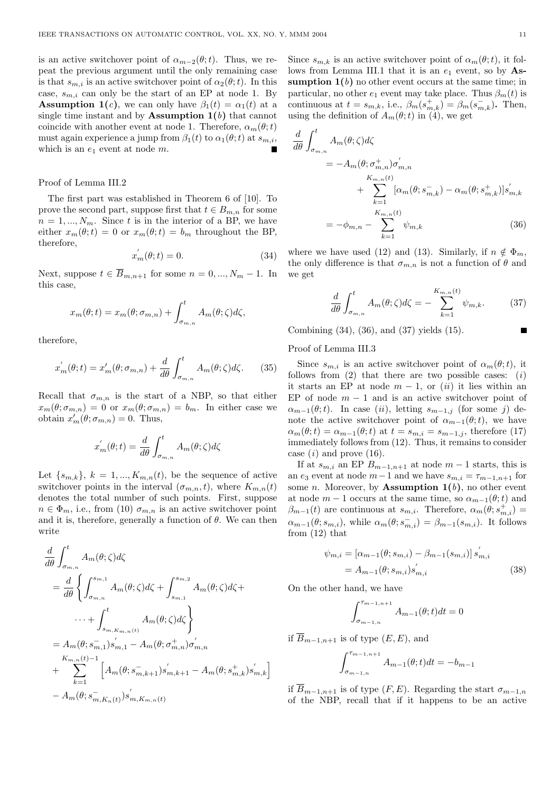is an active switchover point of  $\alpha_{m-2}(\theta; t)$ . Thus, we repeat the previous argument until the only remaining case is that  $s_{m,i}$  is an active switchover point of  $\alpha_2(\theta; t)$ . In this case,  $s_{m,i}$  can only be the start of an EP at node 1. By **Assumption 1(c)**, we can only have  $\beta_1(t) = \alpha_1(t)$  at a single time instant and by **Assumption 1(b)** that cannot coincide with another event at node 1. Therefore,  $\alpha_m(\theta; t)$ must again experience a jump from  $\beta_1(t)$  to  $\alpha_1(\theta; t)$  at  $s_{m,i}$ , which is an  $e_1$  event at node  $m$ .

#### Proof of Lemma III.2

The first part was established in Theorem 6 of [10]. To prove the second part, suppose first that  $t \in B_{m,n}$  for some  $n = 1, ..., N_m$ . Since t is in the interior of a BP, we have either  $x_m(\theta; t) = 0$  or  $x_m(\theta; t) = b_m$  throughout the BP, therefore,

$$
x_m^{'}(\theta; t) = 0.
$$
\n(34)

Next, suppose  $t \in \overline{B}_{m,n+1}$  for some  $n = 0, ..., N_m - 1$ . In this case,

$$
x_m(\theta; t) = x_m(\theta; \sigma_{m,n}) + \int_{\sigma_{m,n}}^t A_m(\theta; \zeta) d\zeta,
$$

therefore,

$$
x'_{m}(\theta; t) = x'_{m}(\theta; \sigma_{m,n}) + \frac{d}{d\theta} \int_{\sigma_{m,n}}^{t} A_{m}(\theta; \zeta) d\zeta.
$$
 (35)

Recall that  $\sigma_{m,n}$  is the start of a NBP, so that either  $x_m(\theta; \sigma_{m,n}) = 0$  or  $x_m(\theta; \sigma_{m,n}) = b_m$ . In either case we obtain  $x'_m(\theta; \sigma_{m,n}) = 0$ . Thus,

$$
x'_{m}(\theta; t) = \frac{d}{d\theta} \int_{\sigma_{m,n}}^{t} A_{m}(\theta; \zeta) d\zeta
$$

Let  $\{s_{m,k}\}, k = 1, ..., K_{m,n}(t)$ , be the sequence of active switchover points in the interval  $(\sigma_{m,n}, t)$ , where  $K_{m,n}(t)$ denotes the total number of such points. First, suppose  $n \in \Phi_m$ , i.e., from (10)  $\sigma_{m,n}$  is an active switchover point and it is, therefore, generally a function of  $\theta$ . We can then write

$$
\frac{d}{d\theta} \int_{\sigma_{m,n}}^{t} A_m(\theta; \zeta) d\zeta
$$
\n
$$
= \frac{d}{d\theta} \left\{ \int_{\sigma_{m,n}}^{s_{m,1}} A_m(\theta; \zeta) d\zeta + \int_{s_{m,1}}^{s_{m,2}} A_m(\theta; \zeta) d\zeta + \cdots + \int_{s_{m,K_{m,n}(t)}}^{t} A_m(\theta; \zeta) d\zeta \right\}
$$
\n
$$
= A_m(\theta; s_{m,1}^{-}) s_{m,1}^{'} - A_m(\theta; \sigma_{m,n}^{+}) \sigma_{m,n}^{'}
$$
\n
$$
+ \sum_{k=1}^{K_{m,n}(t)-1} \left[ A_m(\theta; s_{m,k+1}^{-}) s_{m,k+1}^{'} - A_m(\theta; s_{m,k}^{+}) s_{m,k}^{'} \right]
$$
\n
$$
- A_m(\theta; s_{m,K_n(t)}^{-}) s_{m,K_{m,n}(t)}^{'}.
$$

Since  $s_{m,k}$  is an active switchover point of  $\alpha_m(\theta; t)$ , it follows from Lemma III.1 that it is an  $e_1$  event, so by Assumption  $1(b)$  no other event occurs at the same time; in particular, no other  $e_1$  event may take place. Thus  $\beta_m(t)$  is continuous at  $t = s_{m,k}$ , i.e.,  $\beta_m(s_{m,k}^+) = \beta_m(s_{m,k}^-)$ . Then, using the definition of  $A_m(\theta; t)$  in (4), we get

$$
\frac{d}{d\theta} \int_{\sigma_{m,n}}^{t} A_m(\theta; \zeta) d\zeta
$$
\n
$$
= -A_m(\theta; \sigma_{m,n}^+) \sigma_{m,n}'
$$
\n
$$
+ \sum_{k=1}^{K_{m,n}(t)} [\alpha_m(\theta; s_{m,k}^-) - \alpha_m(\theta; s_{m,k}^+)] s_{m,k}'
$$
\n
$$
= -\phi_{m,n} - \sum_{k=1}^{K_{m,n}(t)} \psi_{m,k}
$$
\n(36)

where we have used (12) and (13). Similarly, if  $n \notin \Phi_m$ , the only difference is that  $\sigma_{m,n}$  is not a function of  $\theta$  and we get

$$
\frac{d}{d\theta} \int_{\sigma_{m,n}}^{t} A_m(\theta; \zeta) d\zeta = - \sum_{k=1}^{K_{m,n}(t)} \psi_{m,k}.
$$
 (37)

Combining (34), (36), and (37) yields (15).

## Proof of Lemma III.3

Since  $s_{m,i}$  is an active switchover point of  $\alpha_m(\theta; t)$ , it follows from  $(2)$  that there are two possible cases:  $(i)$ it starts an EP at node  $m-1$ , or  $(ii)$  it lies within an EP of node  $m-1$  and is an active switchover point of  $\alpha_{m-1}(\theta;t)$ . In case (ii), letting  $s_{m-1,j}$  (for some j) denote the active switchover point of  $\alpha_{m-1}(\theta; t)$ , we have  $\alpha_m(\theta; t) = \alpha_{m-1}(\theta; t)$  at  $t = s_{m,i} = s_{m-1,j}$ , therefore (17) immediately follows from (12). Thus, it remains to consider case  $(i)$  and prove  $(16)$ .

If at  $s_{m,i}$  an EP  $B_{m-1,n+1}$  at node  $m-1$  starts, this is an  $e_3$  event at node  $m-1$  and we have  $s_{m,i} = \tau_{m-1,n+1}$  for some *n*. Moreover, by **Assumption 1(b)**, no other event at node  $m-1$  occurs at the same time, so  $\alpha_{m-1}(\theta; t)$  and  $\beta_{m-1}(t)$  are continuous at  $s_{m,i}$ . Therefore,  $\alpha_m(\theta; s_{m,i}^+)$  =  $\alpha_{m-1}(\theta; s_{m,i}),$  while  $\alpha_m(\theta; s_{m,i}^-) = \beta_{m-1}(s_{m,i}).$  It follows from (12) that

$$
\psi_{m,i} = [\alpha_{m-1}(\theta; s_{m,i}) - \beta_{m-1}(s_{m,i})] s'_{m,i}
$$
  
=  $A_{m-1}(\theta; s_{m,i}) s'_{m,i}$  (38)

On the other hand, we have

$$
\int_{\sigma_{m-1,n}}^{\tau_{m-1,n+1}} A_{m-1}(\theta;t)dt = 0
$$

if  $\overline{B}_{m-1,n+1}$  is of type  $(E, E)$ , and

$$
\int_{\sigma_{m-1,n}}^{\tau_{m-1,n+1}} A_{m-1}(\theta; t) dt = -b_{m-1}
$$

if  $\overline{B}_{m-1,n+1}$  is of type  $(F, E)$ . Regarding the start  $\sigma_{m-1,n}$ of the NBP, recall that if it happens to be an active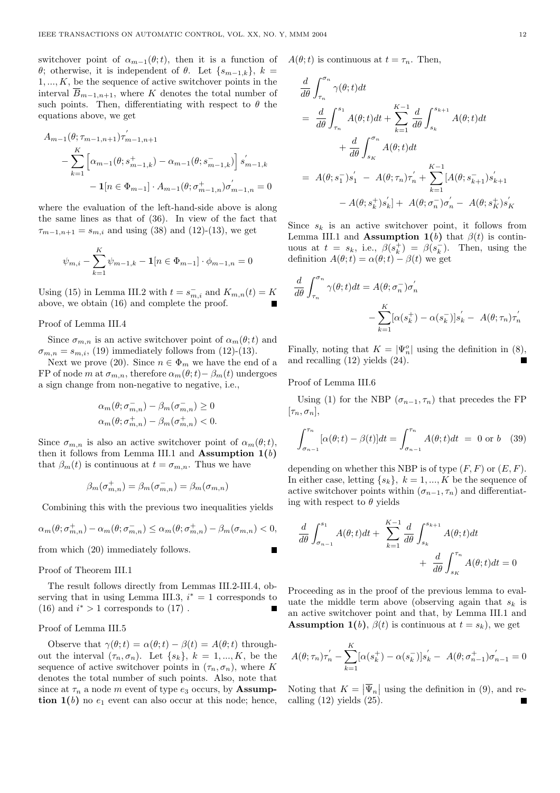switchover point of  $\alpha_{m-1}(\theta; t)$ , then it is a function of θ; otherwise, it is independent of θ. Let  $\{s_{m-1,k}\}, k =$  $1, \ldots, K$ , be the sequence of active switchover points in the interval  $\overline{B}_{m-1,n+1}$ , where K denotes the total number of such points. Then, differentiating with respect to  $\theta$  the equations above, we get

$$
A_{m-1}(\theta; \tau_{m-1,n+1})\tau'_{m-1,n+1}
$$
  
-
$$
\sum_{k=1}^{K} \left[ \alpha_{m-1}(\theta; s_{m-1,k}^{+}) - \alpha_{m-1}(\theta; s_{m-1,k}^{-}) \right] s'_{m-1,k}
$$
  
-
$$
1[n \in \Phi_{m-1}] \cdot A_{m-1}(\theta; \sigma_{m-1,n}^{+})\sigma'_{m-1,n} = 0
$$

where the evaluation of the left-hand-side above is along the same lines as that of (36). In view of the fact that  $\tau_{m-1,n+1} = s_{m,i}$  and using (38) and (12)-(13), we get

$$
\psi_{m,i} - \sum_{k=1}^{K} \psi_{m-1,k} - \mathbf{1}[n \in \Phi_{m-1}] \cdot \phi_{m-1,n} = 0
$$

Using (15) in Lemma III.2 with  $t = s_{m,i}^-$  and  $K_{m,n}(t) = K$ above, we obtain (16) and complete the proof.

#### Proof of Lemma III.4

Since  $\sigma_{m,n}$  is an active switchover point of  $\alpha_m(\theta; t)$  and  $\sigma_{m,n} = s_{m,i}$ , (19) immediately follows from (12)-(13).

Next we prove (20). Since  $n \in \Phi_m$  we have the end of a FP of node m at  $\sigma_{m,n}$ , therefore  $\alpha_m(\theta;t)-\beta_m(t)$  undergoes a sign change from non-negative to negative, i.e.,

$$
\begin{aligned} &\alpha_m(\theta;\sigma_{m,n}^-)-\beta_m(\sigma_{m,n}^-)\geq 0\\ &\alpha_m(\theta;\sigma_{m,n}^+)-\beta_m(\sigma_{m,n}^+)<0. \end{aligned}
$$

Since  $\sigma_{m,n}$  is also an active switchover point of  $\alpha_m(\theta; t)$ , then it follows from Lemma III.1 and **Assumption 1(b)** that  $\beta_m(t)$  is continuous at  $t = \sigma_{m,n}$ . Thus we have

$$
\beta_m(\sigma_{m,n}^+) = \beta_m(\sigma_{m,n}^-) = \beta_m(\sigma_{m,n}^-)
$$

Combining this with the previous two inequalities yields

$$
\alpha_m(\theta; \sigma_{m,n}^+) - \alpha_m(\theta; \sigma_{m,n}^-) \le \alpha_m(\theta; \sigma_{m,n}^+) - \beta_m(\sigma_{m,n}) < 0,
$$
\nfrom which (20) immediately follows

from which (20) immediately follows.

#### Proof of Theorem III.1

The result follows directly from Lemmas III.2-III.4, observing that in using Lemma III.3,  $i^* = 1$  corresponds to (16) and  $i^* > 1$  corresponds to (17).

## Proof of Lemma III.5

Observe that  $\gamma(\theta; t) = \alpha(\theta; t) - \beta(t) = A(\theta; t)$  throughout the interval  $(\tau_n, \sigma_n)$ . Let  $\{s_k\}, k = 1, ..., K$ , be the sequence of active switchover points in  $(\tau_n, \sigma_n)$ , where K denotes the total number of such points. Also, note that since at  $\tau_n$  a node m event of type  $e_3$  occurs, by **Assump**tion  $1(b)$  no  $e_1$  event can also occur at this node; hence,  $A(\theta; t)$  is continuous at  $t = \tau_n$ . Then,

$$
\frac{d}{d\theta} \int_{\tau_n}^{\sigma_n} \gamma(\theta; t) dt
$$
\n
$$
= \frac{d}{d\theta} \int_{\tau_n}^{s_1} A(\theta; t) dt + \sum_{k=1}^{K-1} \frac{d}{d\theta} \int_{s_k}^{s_{k+1}} A(\theta; t) dt
$$
\n
$$
+ \frac{d}{d\theta} \int_{s_K}^{\sigma_n} A(\theta; t) dt
$$
\n
$$
= A(\theta; s_1^-) s_1' - A(\theta; \tau_n) \tau_n' + \sum_{k=1}^{K-1} [A(\theta; s_{k+1}^-) s_{k+1}' - A(\theta; s_k^+) s_K']
$$

Since  $s_k$  is an active switchover point, it follows from Lemma III.1 and **Assumption 1(b)** that  $\beta(t)$  is continuous at  $t = s_k$ , i.e.,  $\beta(s_k^+) = \beta(s_k^-)$ . Then, using the definition  $A(\theta; t) = \alpha(\theta; t) - \beta(t)$  we get

$$
\frac{d}{d\theta} \int_{\tau_n}^{\sigma_n} \gamma(\theta; t) dt = A(\theta; \sigma_n^-) \sigma_n'
$$

$$
- \sum_{k=1}^K [\alpha(s_k^+) - \alpha(s_k^-)] s_k' - A(\theta; \tau_n) \tau_n'
$$

Finally, noting that  $K = |\Psi_n^o|$  using the definition in (8), and recalling (12) yields (24).

Proof of Lemma III.6

Using (1) for the NBP  $(\sigma_{n-1}, \tau_n)$  that precedes the FP  $[\tau_n, \sigma_n],$ 

$$
\int_{\sigma_{n-1}}^{\tau_n} [\alpha(\theta; t) - \beta(t)] dt = \int_{\sigma_{n-1}}^{\tau_n} A(\theta; t) dt = 0 \text{ or } b \quad (39)
$$

depending on whether this NBP is of type  $(F, F)$  or  $(E, F)$ . In either case, letting  $\{s_k\}, k = 1, ..., K$  be the sequence of active switchover points within  $(\sigma_{n-1}, \tau_n)$  and differentiating with respect to  $\theta$  yields

$$
\frac{d}{d\theta} \int_{\sigma_{n-1}}^{s_1} A(\theta; t) dt + \sum_{k=1}^{K-1} \frac{d}{d\theta} \int_{s_k}^{s_{k+1}} A(\theta; t) dt + \frac{d}{d\theta} \int_{s_K}^{\tau_n} A(\theta; t) dt = 0
$$

Proceeding as in the proof of the previous lemma to evaluate the middle term above (observing again that  $s_k$  is an active switchover point and that, by Lemma III.1 and **Assumption 1(b)**,  $\beta(t)$  is continuous at  $t = s_k$ ), we get

$$
A(\theta; \tau_n)\tau'_n - \sum_{k=1}^K [\alpha(s_k^+) - \alpha(s_k^-)]s'_k - A(\theta; \sigma_{n-1}^+) \sigma'_{n-1} = 0
$$

Noting that  $K =$  $|\overline{\Psi}_n|$  using the definition in (9), and recalling  $(12)$  yields  $(25)$ .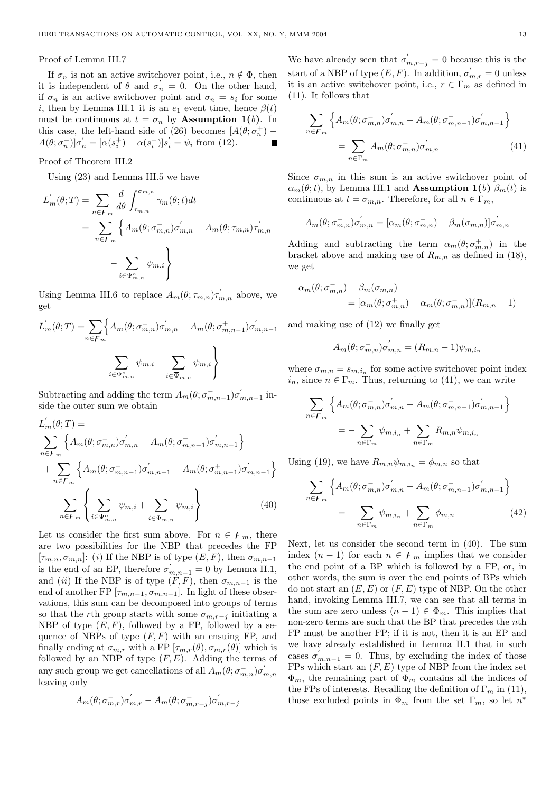#### Proof of Lemma III.7

If  $\sigma_n$  is not an active switchover point, i.e.,  $n \notin \Phi$ , then it is independent of  $\theta$  and  $\sigma'_n = 0$ . On the other hand, if  $\sigma_n$  is an active switchover point and  $\sigma_n = s_i$  for some i, then by Lemma III.1 it is an  $e_1$  event time, hence  $\beta(t)$ must be continuous at  $t = \sigma_n$  by **Assumption 1(b)**. In this case, the left-hand side of (26) becomes  $[A(\theta; \sigma_n^+)$  –  $A(\theta; \sigma_n^-)]\sigma'_n = [\alpha(s_i^+) - \alpha(s_i^-)]s'_i = \psi_i \text{ from (12)}.$ 

## Proof of Theorem III.2

Using (23) and Lemma III.5 we have

$$
L'_{m}(\theta;T) = \sum_{n \in F_m} \frac{d}{d\theta} \int_{\tau_{m,n}}^{\sigma_{m,n}} \gamma_m(\theta;t) dt
$$
  
= 
$$
\sum_{n \in F_m} \left\{ A_m(\theta; \sigma_{m,n}^-) \sigma'_{m,n} - A_m(\theta; \tau_{m,n}) \tau'_{m,n} - \sum_{i \in \Psi_{m,n}^o} \psi_{m,i} \right\}
$$

Using Lemma III.6 to replace  $A_m(\theta; \tau_{m,n})\tau'_{m,n}$  above, we get

$$
L'_{m}(\theta;T) = \sum_{n \in F_m} \Biggl\{ A_m(\theta; \sigma_{m,n}^{-}) \sigma'_{m,n} - A_m(\theta; \sigma_{m,n-1}^{+}) \sigma'_{m,n-1} - \sum_{i \in \Psi_{m,n}^{o}} \psi_{m,i} - \sum_{i \in \overline{\Psi}_{m,n}^{o}} \psi_{m,i} \Biggr\}
$$

Subtracting and adding the term  $A_m(\theta; \sigma_{m,n-1}^-) \sigma_{m,n-1}'$  inside the outer sum we obtain

$$
L'_{m}(\theta;T) = \sum_{n \in F_{m}} \left\{ A_{m}(\theta; \sigma_{m,n}^{-}) \sigma'_{m,n} - A_{m}(\theta; \sigma_{m,n-1}^{-}) \sigma'_{m,n-1} \right\} + \sum_{n \in F_{m}} \left\{ A_{m}(\theta; \sigma_{m,n-1}^{-}) \sigma'_{m,n-1} - A_{m}(\theta; \sigma_{m,n-1}^{+}) \sigma'_{m,n-1} \right\} - \sum_{n \in F_{m}} \left\{ \sum_{i \in \Psi_{m,n}^{o}} \psi_{m,i} + \sum_{i \in \overline{\Psi}_{m,n}^{o}} \psi_{m,i} \right\} \tag{40}
$$

Let us consider the first sum above. For  $n \in F_m$ , there are two possibilities for the NBP that precedes the FP  $[\tau_{m,n}, \sigma_{m,n}]$ : (i) If the NBP is of type  $(E, F)$ , then  $\sigma_{m,n-1}$ is the end of an EP, therefore  $\sigma'_{m,n-1} = 0$  by Lemma II.1, and (ii) If the NBP is of type  $(F, F)$ , then  $\sigma_{m,n-1}$  is the end of another FP  $[\tau_{m,n-1}, \sigma_{m,n-1}]$ . In light of these observations, this sum can be decomposed into groups of terms so that the rth group starts with some  $\sigma_{m,r-j}$  initiating a NBP of type  $(E, F)$ , followed by a FP, followed by a sequence of NBPs of type  $(F, F)$  with an ensuing FP, and finally ending at  $\sigma_{m,r}$  with a FP  $[\tau_{m,r}(\theta), \sigma_{m,r}(\theta)]$  which is followed by an NBP of type  $(F, E)$ . Adding the terms of any such group we get cancellations of all  $A_m(\theta; \sigma_{m,n}^-) \sigma_{m,n}'$ leaving only

$$
A_m(\theta; \sigma_{m,r}^-) \sigma_{m,r}^{'} - A_m(\theta; \sigma_{m,r-j}^-) \sigma_{m,r-j}^{'}
$$

We have already seen that  $\sigma'_{m,r-j} = 0$  because this is the start of a NBP of type  $(E, F)$ . In addition,  $\sigma'_{m,r} = 0$  unless it is an active switchover point, i.e.,  $r \in \Gamma_m$  as defined in (11). It follows that

$$
\sum_{n \in F_m} \left\{ A_m(\theta; \sigma_{m,n}^-) \sigma_{m,n}' - A_m(\theta; \sigma_{m,n-1}^-) \sigma_{m,n-1}' \right\}
$$

$$
= \sum_{n \in \Gamma_m} A_m(\theta; \sigma_{m,n}^-) \sigma_{m,n}' \tag{41}
$$

Since  $\sigma_{m,n}$  in this sum is an active switchover point of  $\alpha_m(\theta; t)$ , by Lemma III.1 and **Assumption 1(b)**  $\beta_m(t)$  is continuous at  $t = \sigma_{m,n}$ . Therefore, for all  $n \in \Gamma_m$ ,

$$
A_m(\theta; \sigma_{m,n}^-) \sigma_{m,n}' = [\alpha_m(\theta; \sigma_{m,n}^-) - \beta_m(\sigma_{m,n})] \sigma_{m,n}'
$$

Adding and subtracting the term  $\alpha_m(\theta; \sigma^+_{m,n})$  in the bracket above and making use of  $R_{m,n}$  as defined in (18), we get

$$
\alpha_m(\theta; \sigma_{m,n}^-) - \beta_m(\sigma_{m,n})
$$
  
=  $[\alpha_m(\theta; \sigma_{m,n}^+) - \alpha_m(\theta; \sigma_{m,n}^-)](R_{m,n} - 1)$ 

and making use of (12) we finally get

$$
A_m(\theta; \sigma_{m,n}^-) \sigma_{m,n}' = (R_{m,n} - 1)\psi_{m,i_n}
$$

where  $\sigma_{m,n} = s_{m,i_n}$  for some active switchover point index  $i_n$ , since  $n \in \Gamma_m$ . Thus, returning to (41), we can write

$$
\sum_{n \in F_m} \left\{ A_m(\theta; \sigma_{m,n}^-) \sigma_{m,n}' - A_m(\theta; \sigma_{m,n-1}^-) \sigma_{m,n-1}' \right\}
$$
  
= 
$$
- \sum_{n \in \Gamma_m} \psi_{m,i_n} + \sum_{n \in \Gamma_m} R_{m,n} \psi_{m,i_n}
$$

Using (19), we have  $R_{m,n}\psi_{m,i_n} = \phi_{m,n}$  so that

$$
\sum_{n \in F_m} \left\{ A_m(\theta; \sigma_{m,n}^-) \sigma'_{m,n} - A_m(\theta; \sigma_{m,n-1}^-) \sigma'_{m,n-1} \right\}
$$

$$
= - \sum_{n \in \Gamma_m} \psi_{m,i_n} + \sum_{n \in \Gamma_m} \phi_{m,n} \tag{42}
$$

Next, let us consider the second term in (40). The sum index  $(n-1)$  for each  $n \in F_m$  implies that we consider the end point of a BP which is followed by a FP, or, in other words, the sum is over the end points of BPs which do not start an  $(E, E)$  or  $(F, E)$  type of NBP. On the other hand, invoking Lemma III.7, we can see that all terms in the sum are zero unless  $(n-1) \in \Phi_m$ . This implies that non-zero terms are such that the BP that precedes the nth FP must be another FP; if it is not, then it is an EP and we have already established in Lemma II.1 that in such cases  $\sigma'_{m,n-1} = 0$ . Thus, by excluding the index of those FPs which start an  $(F, E)$  type of NBP from the index set  $\Phi_m$ , the remaining part of  $\Phi_m$  contains all the indices of the FPs of interests. Recalling the definition of  $\Gamma_m$  in (11), those excluded points in  $\Phi_m$  from the set  $\Gamma_m$ , so let  $n^*$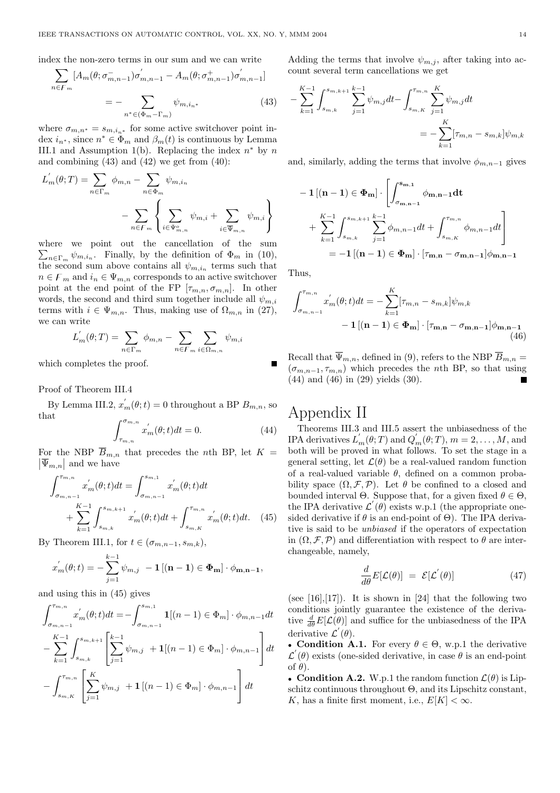index the non-zero terms in our sum and we can write X

$$
\sum_{n \in F_m} [A_m(\theta; \sigma_{m,n-1}^-) \sigma'_{m,n-1} - A_m(\theta; \sigma_{m,n-1}^+) \sigma'_{m,n-1}]
$$
  
= 
$$
- \sum_{n^* \in (\Phi_m - \Gamma_m)} \psi_{m, i_{n^*}}
$$
(43)

where  $\sigma_{m,n^*} = s_{m,i_{n^*}}$  for some active switchover point index  $i_{n^*}$ , since  $n^* \in \Phi_m$  and  $\beta_m(t)$  is continuous by Lemma III.1 and Assumption 1(b). Replacing the index  $n^*$  by n and combining  $(43)$  and  $(42)$  we get from  $(40)$ :

$$
L'_{m}(\theta;T) = \sum_{n \in \Gamma_m} \phi_{m,n} - \sum_{n \in \Phi_m} \psi_{m,i_n}
$$

$$
- \sum_{n \in \mathcal{F}_m} \left\{ \sum_{i \in \Psi_{m,n}^o} \psi_{m,i} + \sum_{i \in \overline{\Psi}_{m,n}^o} \psi_{m,i} \right\}
$$

where we point out the cancellation of the sum  $n \in \Gamma_m$   $\psi_{m,i_n}$ . Finally, by the definition of  $\Phi_m$  in (10), the second sum above contains all  $\psi_{m,i_n}$  terms such that  $n \in F_m$  and  $i_n \in \Psi_{m,n}$  corresponds to an active switchover point at the end point of the FP  $[\tau_{m,n}, \sigma_{m,n}]$ . In other words, the second and third sum together include all  $\psi_{m,i}$ terms with  $i \in \Psi_{m,n}$ . Thus, making use of  $\Omega_{m,n}$  in (27), we can write  $\overline{\phantom{a}}$  $\overline{\phantom{a}}$ 

$$
L'_{m}(\theta;T) = \sum_{n \in \Gamma_m} \phi_{m,n} - \sum_{n \in \mathcal{F}_m} \sum_{i \in \Omega_{m,n}} \psi_{m,i}
$$

which completes the proof.

Proof of Theorem III.4

By Lemma III.2,  $x_m^{'}(\theta; t) = 0$  throughout a BP  $B_{m,n}$ , so that  $\int_0^{\sigma}$ <sub>m</sub>,n

$$
\int_{\tau_{m,n}}^{\sigma_{m,n}} x'_m(\theta; t) dt = 0.
$$
 (44)

For the NBP  $\overline{B}_{m,n}$  that precedes the *n*th BP, let  $K =$  $|\overline{\Psi}_{m,n}|$  and we have

$$
\int_{\sigma_{m,n-1}}^{\tau_{m,n}} x'_m(\theta; t) dt = \int_{\sigma_{m,n-1}}^{s_{m,1}} x'_m(\theta; t) dt + \sum_{k=1}^{K-1} \int_{s_{m,k}}^{s_{m,k+1}} x'_m(\theta; t) dt + \int_{s_{m,K}}^{\tau_{m,n}} x'_m(\theta; t) dt.
$$
 (45)

By Theorem III.1, for  $t \in (\sigma_{m,n-1}, s_{m,k}),$ 

$$
x'_{m}(\theta; t) = -\sum_{j=1}^{k-1} \psi_{m,j} - \mathbf{1} \left[ (\mathbf{n} - \mathbf{1}) \in \Phi_{\mathbf{m}} \right] \cdot \phi_{\mathbf{m}, \mathbf{n} - \mathbf{1}},
$$

and using this in (45) gives

$$
\int_{\sigma_{m,n-1}}^{\tau_{m,n}} x'_m(\theta; t) dt = -\int_{\sigma_{m,n-1}}^{\sigma_{m,1}} \mathbf{1}[(n-1) \in \Phi_m] \cdot \phi_{m,n-1} dt
$$

$$
- \sum_{k=1}^{K-1} \int_{s_{m,k}}^{s_{m,k+1}} \left[ \sum_{j=1}^{k-1} \psi_{m,j} + \mathbf{1}[(n-1) \in \Phi_m] \cdot \phi_{m,n-1} \right] dt
$$

$$
- \int_{s_{m,K}}^{\tau_{m,n}} \left[ \sum_{j=1}^{K} \psi_{m,j} + \mathbf{1}[(n-1) \in \Phi_m] \cdot \phi_{m,n-1} \right] dt
$$

Adding the terms that involve  $\psi_{m,j}$ , after taking into account several term cancellations we get

$$
-\sum_{k=1}^{K-1} \int_{s_{m,k}}^{s_{m,k+1}} \sum_{j=1}^{k-1} \psi_{m,j} dt - \int_{s_{m,K}}^{\tau_{m,n}} \sum_{j=1}^{K} \psi_{m,j} dt
$$
  
= 
$$
-\sum_{k=1}^{K} [\tau_{m,n} - s_{m,k}] \psi_{m,k}
$$

and, similarly, adding the terms that involve  $\phi_{m,n-1}$  gives

$$
-1[(\mathbf{n}-1) \in \Phi_{\mathbf{m}}] \cdot \left[ \int_{\sigma_{\mathbf{m},\mathbf{n}-1}}^{\mathbf{s}_{\mathbf{m},\mathbf{1}}} \phi_{\mathbf{m},\mathbf{n}-1} \mathbf{dt} \right]
$$
  
+ 
$$
\sum_{k=1}^{K-1} \int_{s_{m,k}}^{s_{m,k+1}} \sum_{j=1}^{k-1} \phi_{m,n-1} dt + \int_{s_{m,K}}^{\tau_{m,n}} \phi_{m,n-1} dt \right]
$$
  
= 
$$
-1[(\mathbf{n}-1) \in \Phi_{\mathbf{m}}] \cdot [\tau_{\mathbf{m},\mathbf{n}} - \sigma_{\mathbf{m},\mathbf{n}-1}] \phi_{\mathbf{m},\mathbf{n}-1}
$$

Thus,

$$
\int_{\sigma_{m,n-1}}^{\tau_{m,n}} x'_m(\theta; t) dt = -\sum_{k=1}^K [\tau_{m,n} - s_{m,k}] \psi_{m,k}
$$
  
-  $\mathbf{1} [(\mathbf{n} - \mathbf{1}) \in \Phi_{\mathbf{m}}] \cdot [\tau_{\mathbf{m},\mathbf{n}} - \sigma_{\mathbf{m},\mathbf{n}-1}] \phi_{\mathbf{m},\mathbf{n}-1}$  (46)

Recall that  $\overline{\Psi}_{m,n}$ , defined in (9), refers to the NBP  $\overline{B}_{m,n} =$  $(\sigma_{m,n-1}, \tau_{m,n})$  which precedes the *n*th BP, so that using (44) and (46) in (29) yields (30).

# Appendix II

Theorems III.3 and III.5 assert the unbiasedness of the IPA derivatives  $L'_m(\theta;T)$  and  $Q'_m(\theta;T)$ ,  $m=2,\ldots,M$ , and both will be proved in what follows. To set the stage in a general setting, let  $\mathcal{L}(\theta)$  be a real-valued random function of a real-valued variable  $\theta$ , defined on a common probability space  $(\Omega, \mathcal{F}, \mathcal{P})$ . Let  $\theta$  be confined to a closed and bounded interval  $\Theta$ . Suppose that, for a given fixed  $\theta \in \Theta$ , the IPA derivative  $\mathcal{L}'(\theta)$  exists w.p.1 (the appropriate onesided derivative if  $\theta$  is an end-point of  $\Theta$ ). The IPA derivative is said to be unbiased if the operators of expectation in  $(\Omega, \mathcal{F}, \mathcal{P})$  and differentiation with respect to  $\theta$  are interchangeable, namely,

$$
\frac{d}{d\theta}E[\mathcal{L}(\theta)] = \mathcal{E}[\mathcal{L}^{'}(\theta)] \qquad (47)
$$

(see  $[16], [17]$ ). It is shown in  $[24]$  that the following two conditions jointly guarantee the existence of the derivative  $\frac{d}{d\theta}E[\mathcal{L}(\theta)]$  and suffice for the unbiasedness of the IPA derivative  $\mathcal{L}'(\theta)$ .

• Condition A.1. For every  $\theta \in \Theta$ , w.p.1 the derivative  $\mathcal{L}'(\theta)$  exists (one-sided derivative, in case  $\theta$  is an end-point of  $\theta$ ).

• Condition A.2. W.p.1 the random function  $\mathcal{L}(\theta)$  is Lipschitz continuous throughout Θ, and its Lipschitz constant, K, has a finite first moment, i.e.,  $E[K] < \infty$ .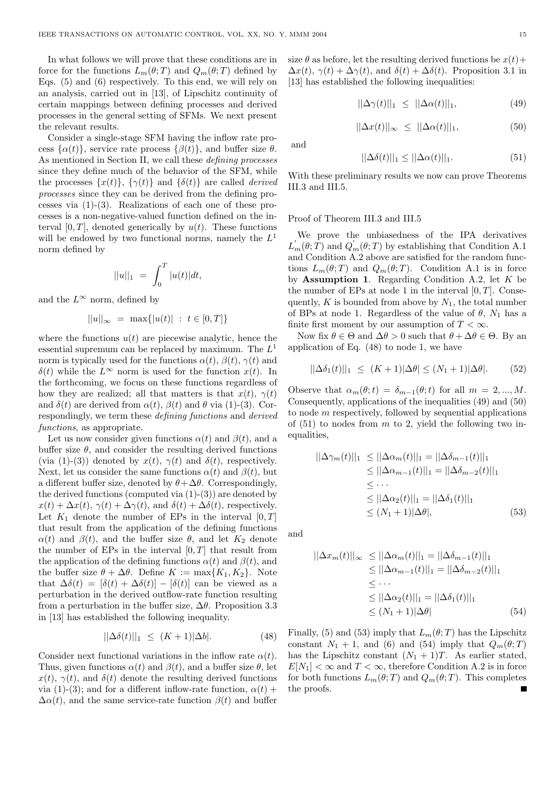In what follows we will prove that these conditions are in force for the functions  $L_m(\theta;T)$  and  $Q_m(\theta;T)$  defined by Eqs. (5) and (6) respectively. To this end, we will rely on an analysis, carried out in [13], of Lipschitz continuity of certain mappings between defining processes and derived processes in the general setting of SFMs. We next present the relevant results.

Consider a single-stage SFM having the inflow rate process  $\{\alpha(t)\}\text{, service rate process } \{\beta(t)\}\text{, and buffer size }\theta\text{.}$ As mentioned in Section II, we call these defining processes since they define much of the behavior of the SFM, while the processes  $\{x(t)\}, \{\gamma(t)\}\$  and  $\{\delta(t)\}\$ are called *derived* processes since they can be derived from the defining processes via (1)-(3). Realizations of each one of these processes is a non-negative-valued function defined on the interval  $[0, T]$ , denoted generically by  $u(t)$ . These functions will be endowed by two functional norms, namely the  $L<sup>1</sup>$ norm defined by

$$
||u||_1 = \int_0^T |u(t)| dt,
$$

and the  $L^{\infty}$  norm, defined by

$$
||u||_{\infty} = \max\{|u(t)| : t \in [0, T]\}
$$

where the functions  $u(t)$  are piecewise analytic, hence the essential supremum can be replaced by maximum. The  $L^1$ norm is typically used for the functions  $\alpha(t)$ ,  $\beta(t)$ ,  $\gamma(t)$  and  $\delta(t)$  while the  $L^{\infty}$  norm is used for the function  $x(t)$ . In the forthcoming, we focus on these functions regardless of how they are realized; all that matters is that  $x(t)$ ,  $\gamma(t)$ and  $\delta(t)$  are derived from  $\alpha(t)$ ,  $\beta(t)$  and  $\theta$  via (1)-(3). Correspondingly, we term these defining functions and derived functions, as appropriate.

Let us now consider given functions  $\alpha(t)$  and  $\beta(t)$ , and a buffer size  $\theta$ , and consider the resulting derived functions (via (1)-(3)) denoted by  $x(t)$ ,  $\gamma(t)$  and  $\delta(t)$ , respectively. Next, let us consider the same functions  $\alpha(t)$  and  $\beta(t)$ , but a different buffer size, denoted by  $\theta + \Delta\theta$ . Correspondingly, the derived functions (computed via  $(1)-(3)$ ) are denoted by  $x(t) + \Delta x(t), \gamma(t) + \Delta \gamma(t)$ , and  $\delta(t) + \Delta \delta(t)$ , respectively. Let  $K_1$  denote the number of EPs in the interval  $[0, T]$ that result from the application of the defining functions  $\alpha(t)$  and  $\beta(t)$ , and the buffer size  $\theta$ , and let  $K_2$  denote the number of EPs in the interval  $[0, T]$  that result from the application of the defining functions  $\alpha(t)$  and  $\beta(t)$ , and the buffer size  $\theta + \Delta \theta$ . Define  $K := \max\{K_1, K_2\}$ . Note that  $\Delta \delta(t) = [\delta(t) + \Delta \delta(t)] - [\delta(t)]$  can be viewed as a perturbation in the derived outflow-rate function resulting from a perturbation in the buffer size,  $\Delta\theta$ . Proposition 3.3 in [13] has established the following inequality.

$$
||\Delta\delta(t)||_1 \le (K+1)|\Delta b|. \tag{48}
$$

Consider next functional variations in the inflow rate  $\alpha(t)$ . Thus, given functions  $\alpha(t)$  and  $\beta(t)$ , and a buffer size  $\theta$ , let  $x(t)$ ,  $\gamma(t)$ , and  $\delta(t)$  denote the resulting derived functions via (1)-(3); and for a different inflow-rate function,  $\alpha(t)$  +  $\Delta \alpha(t)$ , and the same service-rate function  $\beta(t)$  and buffer

size  $\theta$  as before, let the resulting derived functions be  $x(t)$  +  $\Delta x(t)$ ,  $\gamma(t) + \Delta \gamma(t)$ , and  $\delta(t) + \Delta \delta(t)$ . Proposition 3.1 in [13] has established the following inequalities:

$$
||\Delta \gamma(t)||_1 \le ||\Delta \alpha(t)||_1,\tag{49}
$$

$$
||\Delta x(t)||_{\infty} \le ||\Delta \alpha(t)||_{1}, \tag{50}
$$

and

$$
||\Delta \delta(t)||_1 \le ||\Delta \alpha(t)||_1. \tag{51}
$$

With these preliminary results we now can prove Theorems III.3 and III.5.

#### Proof of Theorem III.3 and III.5

We prove the unbiasedness of the IPA derivatives  $L_m(\theta; \hat{T})$  and  $Q'_m(\theta; T)$  by establishing that Condition A.1 and Condition A.2 above are satisfied for the random functions  $L_m(\theta;T)$  and  $Q_m(\theta;T)$ . Condition A.1 is in force by **Assumption 1.** Regarding Condition A.2, let  $K$  be the number of EPs at node 1 in the interval  $[0, T]$ . Consequently,  $K$  is bounded from above by  $N_1$ , the total number of BPs at node 1. Regardless of the value of  $\theta$ ,  $N_1$  has a finite first moment by our assumption of  $T < \infty$ .

Now fix  $\theta \in \Theta$  and  $\Delta \theta > 0$  such that  $\theta + \Delta \theta \in \Theta$ . By an application of Eq. (48) to node 1, we have

$$
||\Delta \delta_1(t)||_1 \le (K+1)|\Delta \theta| \le (N_1+1)|\Delta \theta|. \tag{52}
$$

Observe that  $\alpha_m(\theta; t) = \delta_{m-1}(\theta; t)$  for all  $m = 2, ..., M$ . Consequently, applications of the inequalities (49) and (50) to node m respectively, followed by sequential applications of  $(51)$  to nodes from m to 2, yield the following two inequalities,

$$
||\Delta\gamma_m(t)||_1 \le ||\Delta\alpha_m(t)||_1 = ||\Delta\delta_{m-1}(t)||_1
$$
  
\n
$$
\le ||\Delta\alpha_{m-1}(t)||_1 = ||\Delta\delta_{m-2}(t)||_1
$$
  
\n
$$
\le \cdots
$$
  
\n
$$
\le ||\Delta\alpha_2(t)||_1 = ||\Delta\delta_1(t)||_1
$$
  
\n
$$
\le (N_1 + 1)|\Delta\theta|, \qquad (53)
$$

and

$$
||\Delta x_m(t)||_{\infty} \le ||\Delta \alpha_m(t)||_1 = ||\Delta \delta_{m-1}(t)||_1
$$
  
\n
$$
\le ||\Delta \alpha_{m-1}(t)||_1 = ||\Delta \delta_{m-2}(t)||_1
$$
  
\n
$$
\le \cdots
$$
  
\n
$$
\le ||\Delta \alpha_2(t)||_1 = ||\Delta \delta_1(t)||_1
$$
  
\n
$$
\le (N_1 + 1)|\Delta \theta|
$$
 (54)

Finally, (5) and (53) imply that  $L_m(\theta; T)$  has the Lipschitz constant  $N_1 + 1$ , and (6) and (54) imply that  $Q_m(\theta; T)$ has the Lipschitz constant  $(N_1 + 1)T$ . As earlier stated,  $E[N_1] < \infty$  and  $T < \infty$ , therefore Condition A.2 is in force for both functions  $L_m(\theta;T)$  and  $Q_m(\theta;T)$ . This completes the proofs.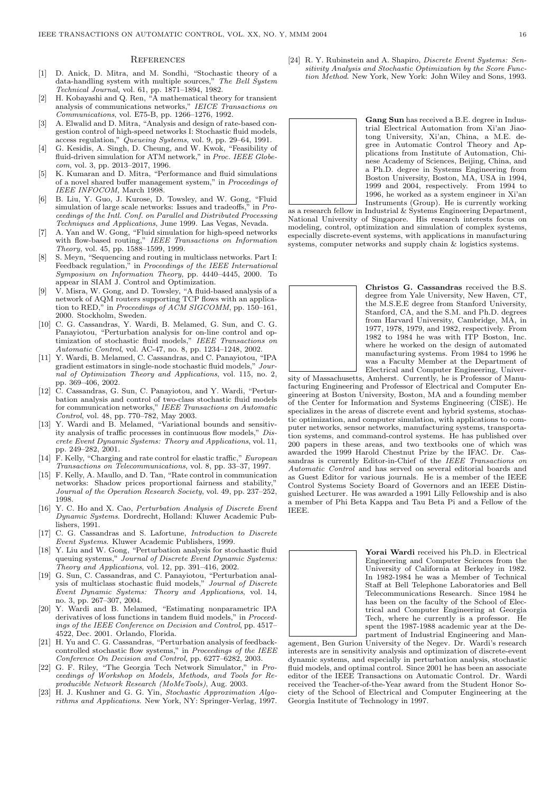#### **REFERENCES**

- [1] D. Anick, D. Mitra, and M. Sondhi, "Stochastic theory of a data-handling system with multiple sources," The Bell System Technical Journal, vol. 61, pp. 1871–1894, 1982.
- [2] H. Kobayashi and Q. Ren, "A mathematical theory for transient analysis of communications networks," IEICE Transactions on Communications, vol. E75-B, pp. 1266–1276, 1992.
- [3] A. Elwalid and D. Mitra, "Analysis and design of rate-based congestion control of high-speed networks I: Stochastic fluid models, access regulation," Queueing Systems, vol. 9, pp. 29–64, 1991.
- [4] G. Kesidis, A. Singh, D. Cheung, and W. Kwok, "Feasibility of fluid-driven simulation for ATM network," in Proc. IEEE Globecom, vol. 3, pp. 2013–2017, 1996.
- [5] K. Kumaran and D. Mitra, "Performance and fluid simulations of a novel shared buffer management system," in Proceedings of IEEE INFOCOM, March 1998.
- [6] B. Liu, Y. Guo, J. Kurose, D. Towsley, and W. Gong, "Fluid simulation of large scale networks: Issues and tradeoffs," in Proceedings of the Intl. Conf. on Parallel and Distributed Processing Techniques and Applications, June 1999. Las Vegas, Nevada.
- [7] A. Yan and W. Gong, "Fluid simulation for high-speed networks with flow-based routing," IEEE Transactions on Information Theory, vol. 45, pp. 1588–1599, 1999.
- [8] S. Meyn, "Sequencing and routing in multiclass networks. Part I: Feedback regulation," in Proceedings of the IEEE International Symposium on Information Theory, pp. 4440–4445, 2000. To appear in SIAM J. Control and Optimization.
- [9] V. Misra, W. Gong, and D. Towsley, "A fluid-based analysis of a network of AQM routers supporting TCP flows with an application to RED," in Proceedings of ACM SIGCOMM, pp. 150–161, 2000. Stockholm, Sweden.
- [10] C. G. Cassandras, Y. Wardi, B. Melamed, G. Sun, and C. G. Panayiotou, "Perturbation analysis for on-line control and optimization of stochastic fluid models," IEEE Transactions on Automatic Control, vol. AC-47, no. 8, pp. 1234–1248, 2002.
- [11] Y. Wardi, B. Melamed, C. Cassandras, and C. Panayiotou, "IPA gradient estimators in single-node stochastic fluid models," Journal of Optimization Theory and Applications, vol. 115, no. 2, pp. 369–406, 2002.
- [12] C. Cassandras, G. Sun, C. Panayiotou, and Y. Wardi, "Perturbation analysis and control of two-class stochastic fluid models for communication networks," IEEE Transactions on Automatic Control, vol. 48, pp. 770–782, May 2003.
- [13] Y. Wardi and B. Melamed, "Variational bounds and sensitivity analysis of traffic processes in continuous flow models," Discrete Event Dynamic Systems: Theory and Applications, vol. 11, pp. 249–282, 2001.
- [14] F. Kelly, "Charging and rate control for elastic traffic," European Transactions on Telecommunications, vol. 8, pp. 33–37, 1997.
- [15] F. Kelly, A. Maullo, and D. Tan, "Rate control in communication networks: Shadow prices proportional fairness and stability, Journal of the Operation Research Society, vol. 49, pp. 237–252, 1998.
- [16] Y. C. Ho and X. Cao, *Perturbation Analysis of Discrete Event* Dynamic Systems. Dordrecht, Holland: Kluwer Academic Publishers, 1991.
- C. G. Cassandras and S. Lafortune, *Introduction to Discrete* Event Systems. Kluwer Academic Publishers, 1999.
- [18] Y. Liu and W. Gong, "Perturbation analysis for stochastic fluid queuing systems," Journal of Discrete Event Dynamic Systems: Theory and Applications, vol. 12, pp. 391–416, 2002.
- [19] G. Sun, C. Cassandras, and C. Panayiotou, "Perturbation analysis of multiclass stochastic fluid models," Journal of Discrete Event Dynamic Systems: Theory and Applications, vol. 14, no. 3, pp. 267–307, 2004.
- [20] Y. Wardi and B. Melamed, "Estimating nonparametric IPA derivatives of loss functions in tandem fluid models," in Proceedings of the IEEE Conference on Decision and Control, pp. 4517– 4522, Dec. 2001. Orlando, Florida.
- [21] H. Yu and C. G. Cassandras, "Perturbation analysis of feedbackcontrolled stochastic flow systems," in Proceedings of the IEEE Conference On Decision and Control, pp. 6277–6282, 2003.
- [22] G. F. Riley, "The Georgia Tech Network Simulator," in Proceedings of Workshop on Models, Methods, and Tools for Reproducible Network Research (MoMeTools), Aug. 2003.
- [23] H. J. Kushner and G. G. Yin, Stochastic Approximation Algorithms and Applications. New York, NY: Springer-Verlag, 1997.

[24] R. Y. Rubinstein and A. Shapiro, *Discrete Event Systems: Sen*sitivity Analysis and Stochastic Optimization by the Score Function Method. New York, New York: John Wiley and Sons, 1993.



as a research fellow in Industrial & Systems Engineering Department, National University of Singapore. His research interests focus on modeling, control, optimization and simulation of complex systems, especially discrete-event systems, with applications in manufacturing systems, computer networks and supply chain & logistics systems.



Christos G. Cassandras received the B.S. degree from Yale University, New Haven, CT, the M.S.E.E degree from Stanford University, Stanford, CA, and the S.M. and Ph.D. degrees from Harvard University, Cambridge, MA, in 1977, 1978, 1979, and 1982, respectively. From 1982 to 1984 he was with ITP Boston, Inc. where he worked on the design of automated manufacturing systems. From 1984 to 1996 he was a Faculty Member at the Department of Electrical and Computer Engineering, Univer-

sity of Massachusetts, Amherst. Currently, he is Professor of Manufacturing Engineering and Professor of Electrical and Computer Engineering at Boston University, Boston, MA and a founding member of the Center for Information and Systems Engineering (CISE). He specializes in the areas of discrete event and hybrid systems, stochastic optimization, and computer simulation, with applications to computer networks, sensor networks, manufacturing systems, transportation systems, and command-control systems. He has published over 200 papers in these areas, and two textbooks one of which was awarded the 1999 Harold Chestnut Prize by the IFAC. Dr. Cassandras is currently Editor-in-Chief of the IEEE Transactions on Automatic Control and has served on several editorial boards and as Guest Editor for various journals. He is a member of the IEEE Control Systems Society Board of Governors and an IEEE Distinguished Lecturer. He was awarded a 1991 Lilly Fellowship and is also a member of Phi Beta Kappa and Tau Beta Pi and a Fellow of the IEEE.



Yorai Wardi received his Ph.D. in Electrical Engineering and Computer Sciences from the University of California at Berkeley in 1982. In 1982-1984 he was a Member of Technical Staff at Bell Telephone Laboratories and Bell Telecommunications Research. Since 1984 he has been on the faculty of the School of Electrical and Computer Engineering at Georgia Tech, where he currently is a professor. spent the 1987-1988 academic year at the Department of Industrial Engineering and Man-

agement, Ben Gurion University of the Negev. Dr. Wardi's research interests are in sensitivity analysis and optimization of discrete-event dynamic systems, and especially in perturbation analysis, stochastic fluid models, and optimal control. Since 2001 he has been an associate editor of the IEEE Transactions on Automatic Control. Dr. Wardi received the Teacher-of-the-Year award from the Student Honor Society of the School of Electrical and Computer Engineering at the Georgia Institute of Technology in 1997.